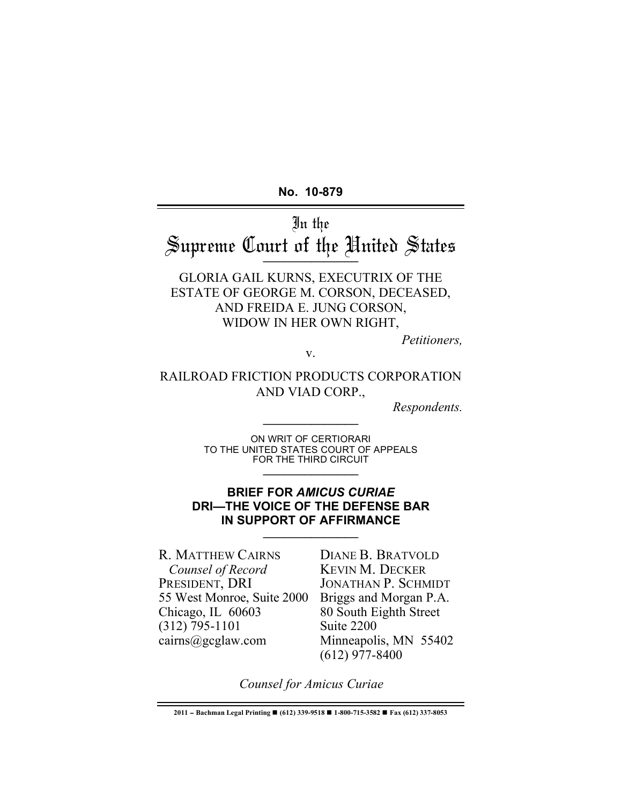**No. 10-879**

In the Supreme Court of the United States \_\_\_\_\_\_\_\_\_\_\_\_\_\_

GLORIA GAIL KURNS, EXECUTRIX OF THE ESTATE OF GEORGE M. CORSON, DECEASED, AND FREIDA E. JUNG CORSON, WIDOW IN HER OWN RIGHT,

*Petitioners,*

v.

# RAILROAD FRICTION PRODUCTS CORPORATION AND VIAD CORP.,

*Respondents.* \_\_\_\_\_\_\_\_\_\_\_\_\_\_

ON WRIT OF CERTIORARI TO THE UNITED STATES COURT OF APPEALS FOR THE THIRD CIRCUIT  $\frac{1}{2}$ 

#### **BRIEF FOR** *AMICUS CURIAE* **DRI—THE VOICE OF THE DEFENSE BAR IN SUPPORT OF AFFIRMANCE**

R. MATTHEW CAIRNS  *Counsel of Record* PRESIDENT, DRI 55 West Monroe, Suite 2000 Chicago, IL 60603 (312) 795-1101 cairns@gcglaw.com

DIANE B. BRATVOLD KEVIN M. DECKER JONATHAN P. SCHMIDT Briggs and Morgan P.A. 80 South Eighth Street Suite 2200 Minneapolis, MN 55402 (612) 977-8400

*Counsel for Amicus Curiae*

**<sup>2011</sup>** − **Bachman Legal Printing (612) 339-9518 1-800-715-3582 Fax (612) 337-8053**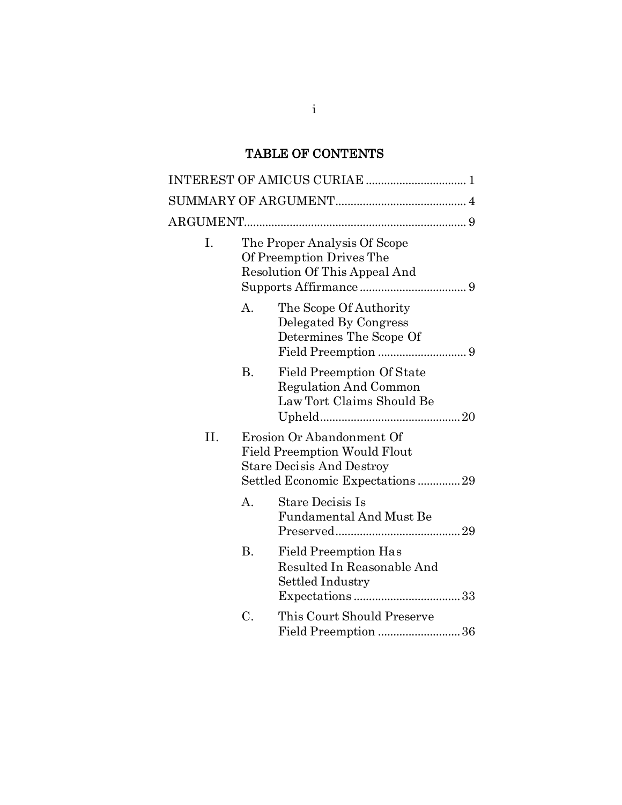# TABLE OF CONTENTS

| Ι.  |                                                                                                                                         | The Proper Analysis Of Scope<br>Of Preemption Drives The<br>Resolution Of This Appeal And     |
|-----|-----------------------------------------------------------------------------------------------------------------------------------------|-----------------------------------------------------------------------------------------------|
|     | А.                                                                                                                                      | The Scope Of Authority<br>Delegated By Congress<br>Determines The Scope Of                    |
|     | Β.                                                                                                                                      | <b>Field Preemption Of State</b><br><b>Regulation And Common</b><br>Law Tort Claims Should Be |
| II. | Erosion Or Abandonment Of<br><b>Field Preemption Would Flout</b><br><b>Stare Decisis And Destroy</b><br>Settled Economic Expectations29 |                                                                                               |
|     | A <sub>1</sub>                                                                                                                          | Stare Decisis Is<br><b>Fundamental And Must Be</b>                                            |
|     | Β.                                                                                                                                      | <b>Field Preemption Has</b><br>Resulted In Reasonable And<br>Settled Industry                 |
|     | C.                                                                                                                                      | This Court Should Preserve                                                                    |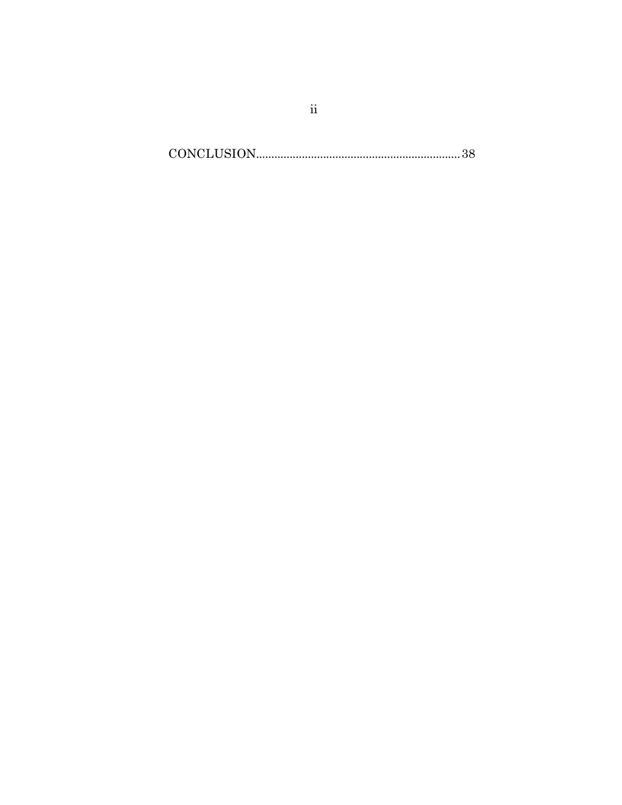$\textbf{CONCLUSION}.\textcolor{red}{\textbf{38}}$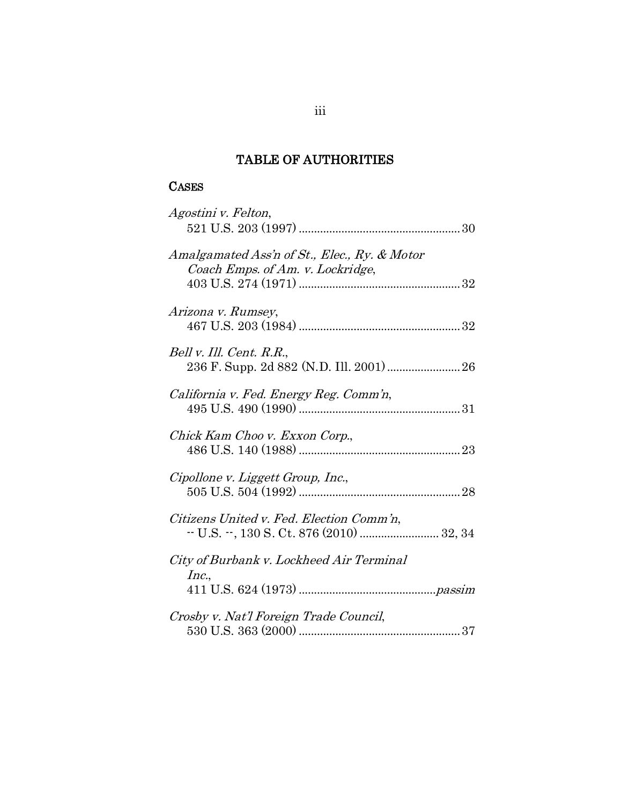# TABLE OF AUTHORITIES

# **CASES**

| Agostini v. Felton,                                                              |
|----------------------------------------------------------------------------------|
| Amalgamated Ass'n of St., Elec., Ry. & Motor<br>Coach Emps. of Am. v. Lockridge, |
| Arizona v. Rumsey,                                                               |
| Bell v. Ill. Cent. R.R.,<br>236 F. Supp. 2d 882 (N.D. Ill. 2001) 26              |
| California v. Fed. Energy Reg. Comm'n,                                           |
| Chick Kam Choo v. Exxon Corp.,                                                   |
| Cipollone v. Liggett Group, Inc.,                                                |
| Citizens United v. Fed. Election Comm'n,                                         |
| City of Burbank v. Lockheed Air Terminal<br>Inc.,                                |
| Crosby v. Nat'l Foreign Trade Council,                                           |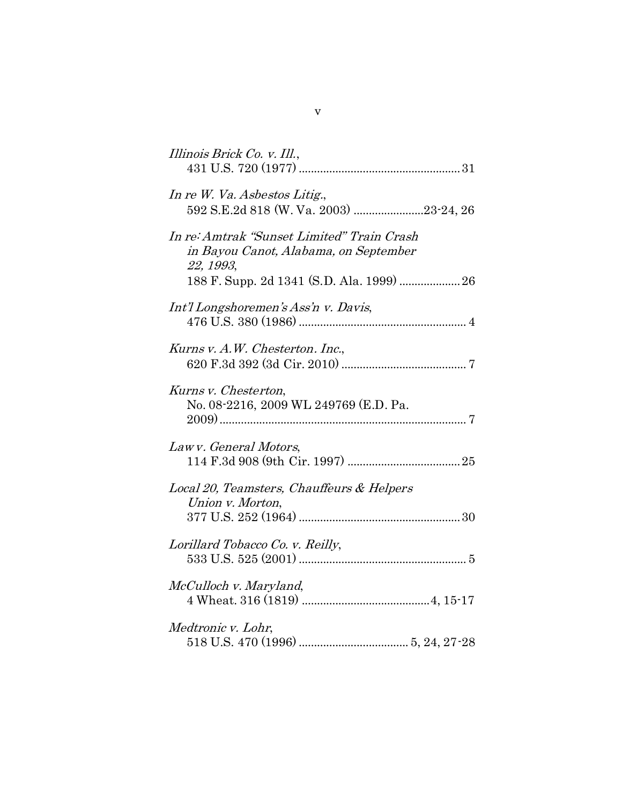| Illinois Brick Co. v. Ill.,                                                                                                                   |
|-----------------------------------------------------------------------------------------------------------------------------------------------|
| In re W. Va. Asbestos Litig.,<br>592 S.E.2d 818 (W. Va. 2003) 23-24, 26                                                                       |
| In re: Amtrak "Sunset Limited" Train Crash<br>in Bayou Canot, Alabama, on September<br>22, 1993,<br>188 F. Supp. 2d 1341 (S.D. Ala. 1999)  26 |
| Int'l Longshoremen's Ass'n v. Davis,                                                                                                          |
| Kurns v. A.W. Chesterton. Inc.,                                                                                                               |
| Kurns v. Chesterton,<br>No. 08-2216, 2009 WL 249769 (E.D. Pa.                                                                                 |
| Lawy. General Motors.                                                                                                                         |
| Local 20, Teamsters, Chauffeurs & Helpers<br>Union v. Morton,                                                                                 |
| Lorillard Tobacco Co. v. Reilly,                                                                                                              |
| McCulloch v. Maryland,                                                                                                                        |
| Medtronic v. Lohr,                                                                                                                            |

v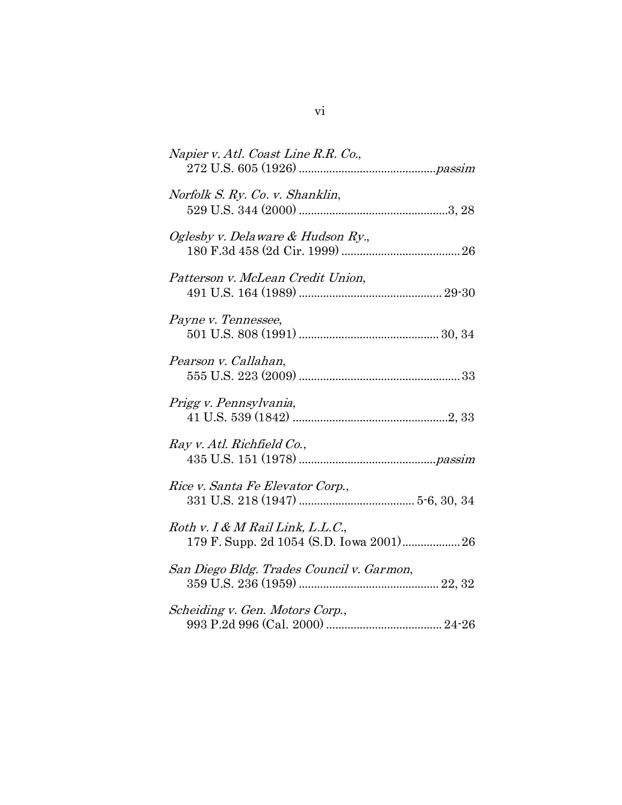| Napier v. Atl. Coast Line R.R. Co.,                                            |
|--------------------------------------------------------------------------------|
| Norfolk S. Ry. Co. v. Shanklin,                                                |
| Oglesby v. Delaware & Hudson Ry.,                                              |
| Patterson v. McLean Credit Union,                                              |
| Payne v. Tennessee,                                                            |
| Pearson v. Callahan,                                                           |
| Prigg v. Pennsylvania,                                                         |
| Ray v. Atl. Richfield Co.,                                                     |
| Rice v. Santa Fe Elevator Corp.,                                               |
| $Roth$ v. I & M Rail Link, L.L.C.,<br>179 F. Supp. 2d 1054 (S.D. Iowa 2001) 26 |
| San Diego Bldg. Trades Council v. Garmon,                                      |
| Scheiding v. Gen. Motors Corp.,                                                |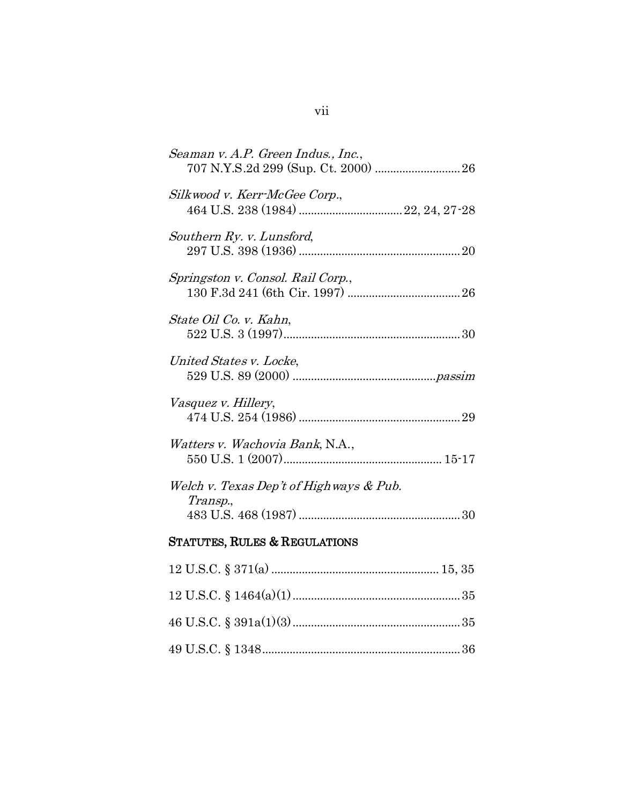| Seaman v. A.P. Green Indus., Inc.,                   |
|------------------------------------------------------|
| Silkwood v. Kerr-McGee Corp.,                        |
| Southern Ry. v. Lunsford,                            |
| Springston v. Consol. Rail Corp.,                    |
| State Oil Co. v. Kahn,                               |
| United States v. Locke,                              |
| Vasquez v. Hillery,                                  |
| Watters v. Wachovia Bank, N.A.,                      |
| Welch v. Texas Dep't of High ways & Pub.<br>Transp., |
| <b>STATUTES, RULES &amp; REGULATIONS</b>             |
|                                                      |
|                                                      |
|                                                      |
|                                                      |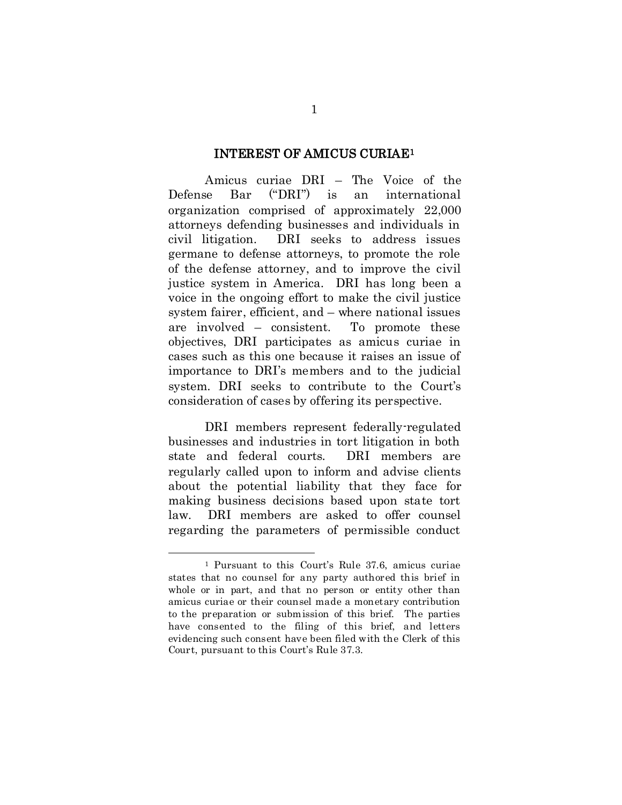#### INTEREST OF AMICUS CURIAE[1](#page-9-0)

Amicus curiae DRI – The Voice of the Defense Bar ("DRI") is an international organization comprised of approximately 22,000 attorneys defending businesses and individuals in civil litigation. DRI seeks to address issues germane to defense attorneys, to promote the role of the defense attorney, and to improve the civil justice system in America. DRI has long been a voice in the ongoing effort to make the civil justice system fairer, efficient, and – where national issues are involved – consistent. To promote these objectives, DRI participates as amicus curiae in cases such as this one because it raises an issue of importance to DRI's members and to the judicial system. DRI seeks to contribute to the Court's consideration of cases by offering its perspective.

DRI members represent federally-regulated businesses and industries in tort litigation in both state and federal courts. DRI members are regularly called upon to inform and advise clients about the potential liability that they face for making business decisions based upon state tort law. DRI members are asked to offer counsel regarding the parameters of permissible conduct

<span id="page-9-0"></span> <sup>1</sup> Pursuant to this Court's Rule 37.6, amicus curiae states that no counsel for any party authored this brief in whole or in part, and that no person or entity other than amicus curiae or their counsel made a monetary contribution to the preparation or submission of this brief. The parties have consented to the filing of this brief, and letters evidencing such consent have been filed with the Clerk of this Court, pursuant to this Court's Rule 37.3.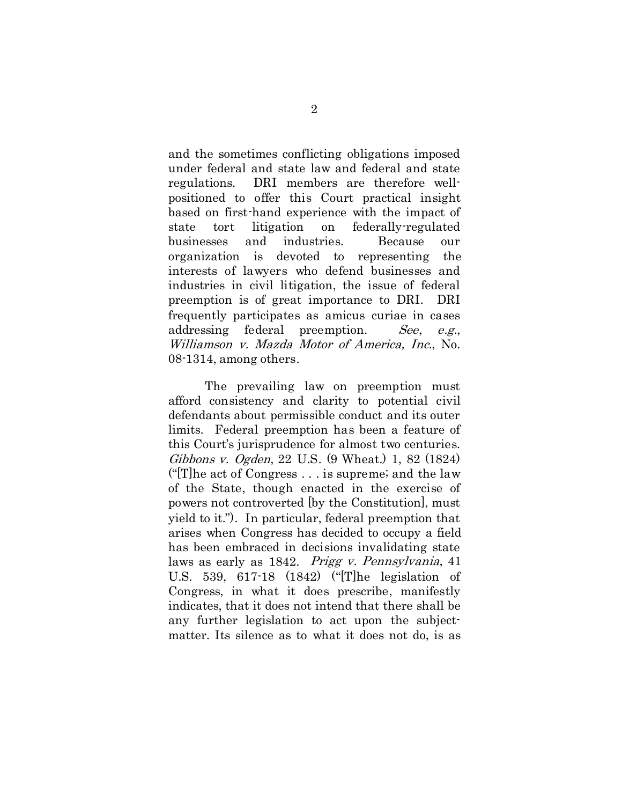and the sometimes conflicting obligations imposed under federal and state law and federal and state regulations. DRI members are therefore wellpositioned to offer this Court practical insight based on first-hand experience with the impact of state tort litigation on federally-regulated businesses and industries. Because our organization is devoted to representing the interests of lawyers who defend businesses and industries in civil litigation, the issue of federal preemption is of great importance to DRI. DRI frequently participates as amicus curiae in cases addressing federal preemption. See, e.g., Williamson v. Mazda Motor of America, Inc., No. 08-1314, among others.

The prevailing law on preemption must afford consistency and clarity to potential civil defendants about permissible conduct and its outer limits. Federal preemption has been a feature of this Court's jurisprudence for almost two centuries. Gibbons v. Ogden, 22 U.S. (9 Wheat.) 1, 82 (1824) ("[T]he act of Congress . . . is supreme; and the law of the State, though enacted in the exercise of powers not controverted [by the Constitution], must yield to it."). In particular, federal preemption that arises when Congress has decided to occupy a field has been embraced in decisions invalidating state laws as early as 1842. Prigg v. Pennsylvania, 41 U.S. 539, 617-18 (1842) ("[T]he legislation of Congress, in what it does prescribe, manifestly indicates, that it does not intend that there shall be any further legislation to act upon the subjectmatter. Its silence as to what it does not do, is as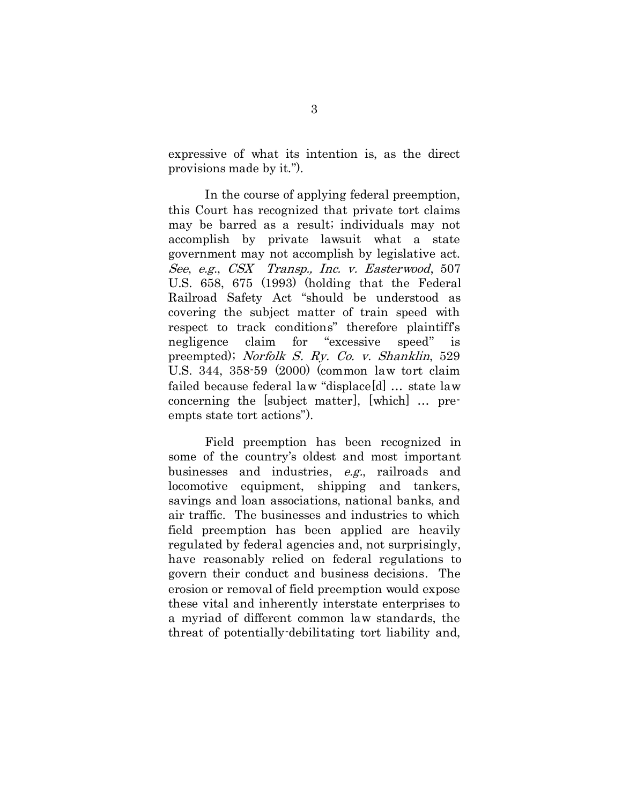expressive of what its intention is, as the direct provisions made by it.").

In the course of applying federal preemption, this Court has recognized that private tort claims may be barred as a result; individuals may not accomplish by private lawsuit what a state government may not accomplish by legislative act. See, e.g., CSX Transp., Inc. v. Easterwood, 507 U.S. 658, 675 (1993) (holding that the Federal Railroad Safety Act "should be understood as covering the subject matter of train speed with respect to track conditions" therefore plaintiff's negligence claim for "excessive speed" is preempted); Norfolk S. Ry. Co. v. Shanklin, 529 U.S. 344, 358-59 (2000) (common law tort claim failed because federal law "displace[d] … state law concerning the [subject matter], [which] … preempts state tort actions").

Field preemption has been recognized in some of the country's oldest and most important businesses and industries, e.g., railroads and locomotive equipment, shipping and tankers, savings and loan associations, national banks, and air traffic. The businesses and industries to which field preemption has been applied are heavily regulated by federal agencies and, not surprisingly, have reasonably relied on federal regulations to govern their conduct and business decisions. The erosion or removal of field preemption would expose these vital and inherently interstate enterprises to a myriad of different common law standards, the threat of potentially-debilitating tort liability and,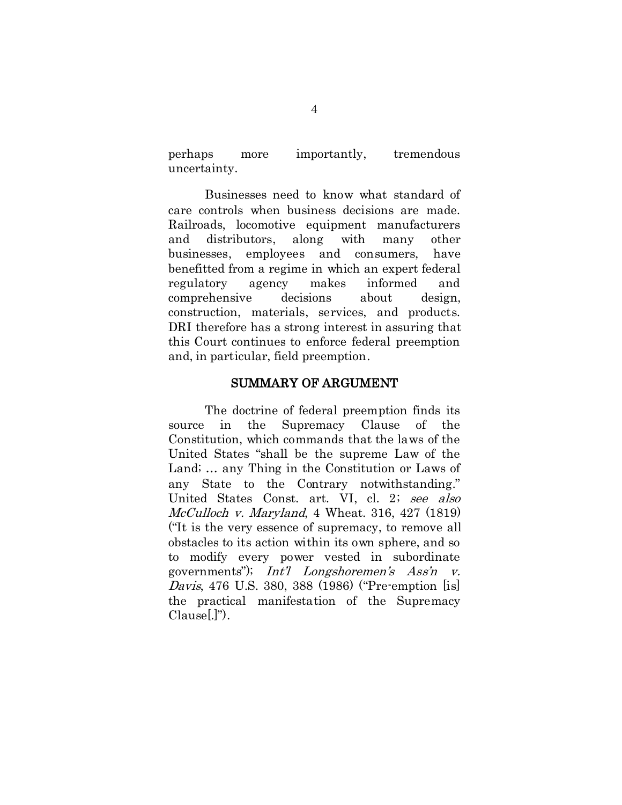perhaps more importantly, tremendous uncertainty.

Businesses need to know what standard of care controls when business decisions are made. Railroads, locomotive equipment manufacturers and distributors, along with many other businesses, employees and consumers, have benefitted from a regime in which an expert federal regulatory agency makes informed and comprehensive decisions about design, construction, materials, services, and products. DRI therefore has a strong interest in assuring that this Court continues to enforce federal preemption and, in particular, field preemption.

#### SUMMARY OF ARGUMENT

The doctrine of federal preemption finds its source in the Supremacy Clause of the Constitution, which commands that the laws of the United States "shall be the supreme Law of the Land; … any Thing in the Constitution or Laws of any State to the Contrary notwithstanding." United States Const. art. VI, cl. 2; see also McCulloch v. Maryland, 4 Wheat. 316, 427 (1819) ("It is the very essence of supremacy, to remove all obstacles to its action within its own sphere, and so to modify every power vested in subordinate governments"); Int'l Longshoremen's Ass'n v. Davis, 476 U.S. 380, 388 (1986) ("Pre-emption [is] the practical manifestation of the Supremacy Clause[.]").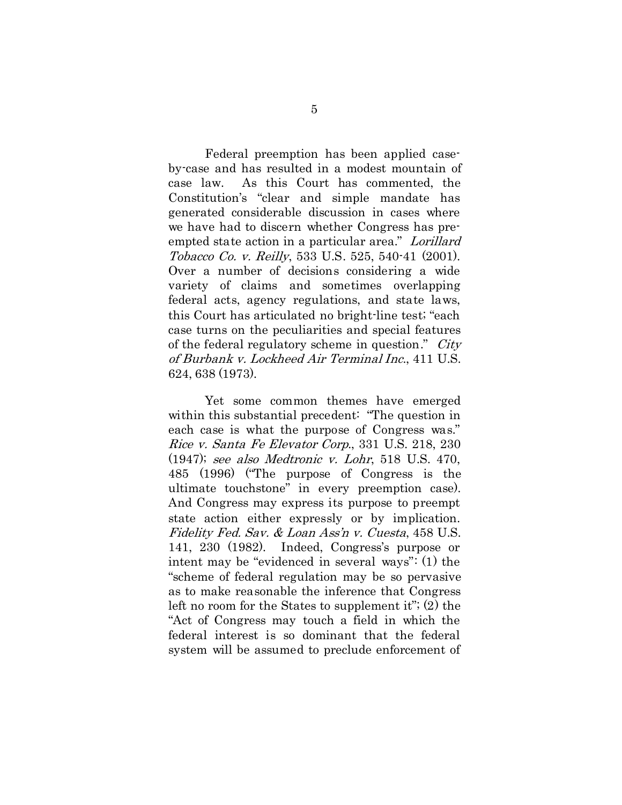Federal preemption has been applied caseby-case and has resulted in a modest mountain of case law. As this Court has commented, the Constitution's "clear and simple mandate has generated considerable discussion in cases where we have had to discern whether Congress has preempted state action in a particular area." Lorillard Tobacco Co. v. Reilly, 533 U.S. 525, 540-41 (2001). Over a number of decisions considering a wide variety of claims and sometimes overlapping federal acts, agency regulations, and state laws, this Court has articulated no bright-line test; "each case turns on the peculiarities and special features of the federal regulatory scheme in question." City of Burbank v. Lockheed Air Terminal Inc., 411 U.S. 624, 638 (1973).

Yet some common themes have emerged within this substantial precedent: "The question in each case is what the purpose of Congress was." Rice v. Santa Fe Elevator Corp., 331 U.S. 218, 230 (1947); see also Medtronic v. Lohr, 518 U.S. 470, 485 (1996) ("The purpose of Congress is the ultimate touchstone" in every preemption case). And Congress may express its purpose to preempt state action either expressly or by implication. Fidelity Fed. Sav. & Loan Ass'n v. Cuesta, 458 U.S. 141, 230 (1982). Indeed, Congress's purpose or intent may be "evidenced in several ways": (1) the "scheme of federal regulation may be so pervasive as to make reasonable the inference that Congress left no room for the States to supplement it"; (2) the "Act of Congress may touch a field in which the federal interest is so dominant that the federal system will be assumed to preclude enforcement of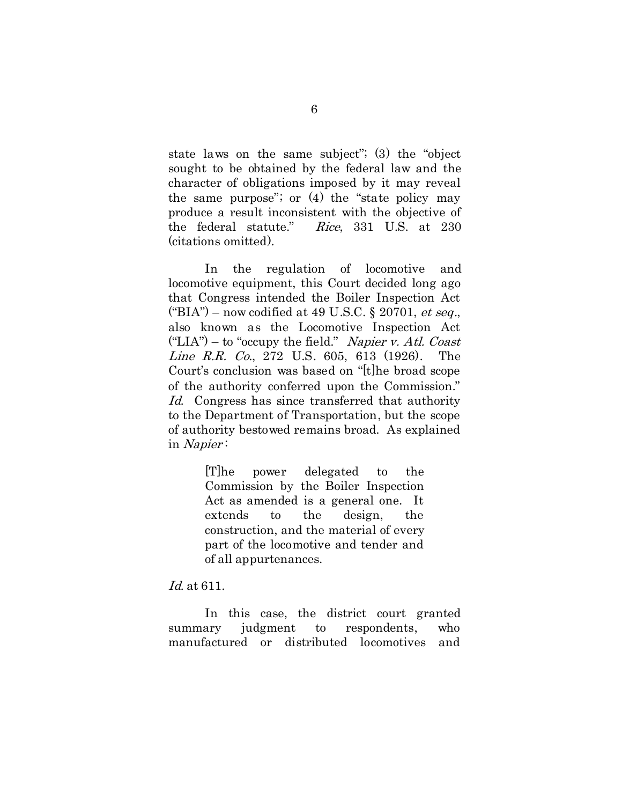state laws on the same subject"; (3) the "object sought to be obtained by the federal law and the character of obligations imposed by it may reveal the same purpose"; or (4) the "state policy may produce a result inconsistent with the objective of the federal statute." Rice, 331 U.S. at 230 (citations omitted).

In the regulation of locomotive and locomotive equipment, this Court decided long ago that Congress intended the Boiler Inspection Act ("BIA") – now codified at 49 U.S.C. § 20701, et seq., also known as the Locomotive Inspection Act  $("LIA")$  – to "occupy the field." Napier v. Atl. Coast Line R.R. Co., 272 U.S. 605, 613 (1926). The Court's conclusion was based on "[t]he broad scope of the authority conferred upon the Commission." Id. Congress has since transferred that authority to the Department of Transportation, but the scope of authority bestowed remains broad. As explained in Napier :

> [T]he power delegated to the Commission by the Boiler Inspection Act as amended is a general one. It extends to the design, the construction, and the material of every part of the locomotive and tender and of all appurtenances.

Id. at 611.

In this case, the district court granted summary judgment to respondents, who manufactured or distributed locomotives and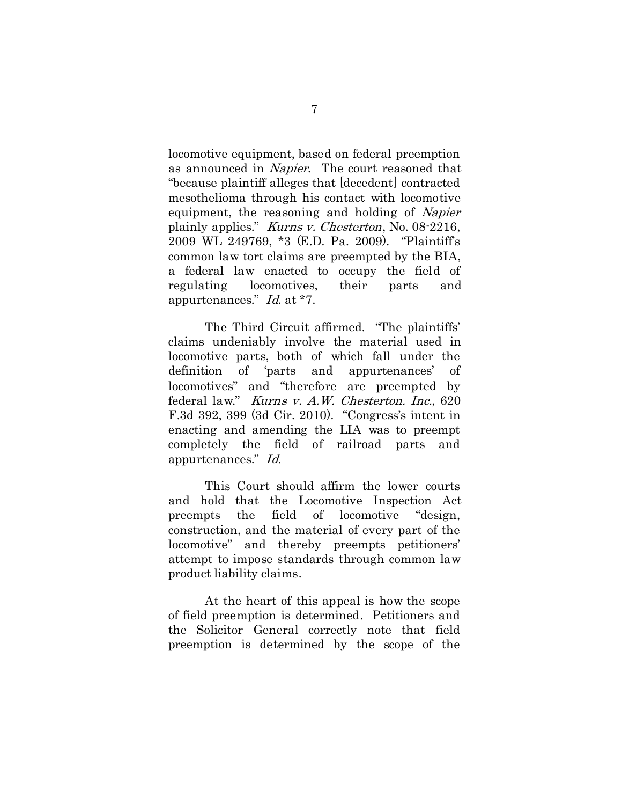locomotive equipment, based on federal preemption as announced in Napier. The court reasoned that "because plaintiff alleges that [decedent] contracted mesothelioma through his contact with locomotive equipment, the reasoning and holding of Napier plainly applies." Kurns v. Chesterton, No. 08-2216, 2009 WL 249769, \*3 (E.D. Pa. 2009). "Plaintiff's common law tort claims are preempted by the BIA, a federal law enacted to occupy the field of regulating locomotives, their parts and appurtenances." Id. at \*7.

The Third Circuit affirmed. "The plaintiffs' claims undeniably involve the material used in locomotive parts, both of which fall under the definition of 'parts and appurtenances' of locomotives" and "therefore are preempted by federal law." Kurns v. A.W. Chesterton. Inc., 620 F.3d 392, 399 (3d Cir. 2010). "Congress's intent in enacting and amending the LIA was to preempt completely the field of railroad parts and appurtenances." Id.

This Court should affirm the lower courts and hold that the Locomotive Inspection Act preempts the field of locomotive "design, construction, and the material of every part of the locomotive" and thereby preempts petitioners' attempt to impose standards through common law product liability claims.

At the heart of this appeal is how the scope of field preemption is determined. Petitioners and the Solicitor General correctly note that field preemption is determined by the scope of the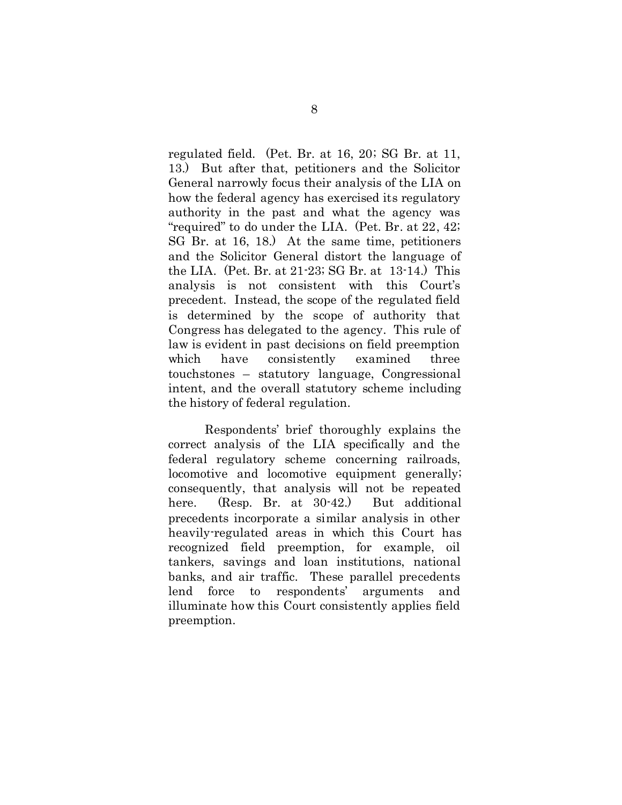regulated field. (Pet. Br. at 16, 20; SG Br. at 11, 13.) But after that, petitioners and the Solicitor General narrowly focus their analysis of the LIA on how the federal agency has exercised its regulatory authority in the past and what the agency was "required" to do under the LIA. (Pet. Br. at 22, 42; SG Br. at 16, 18.) At the same time, petitioners and the Solicitor General distort the language of the LIA. (Pet. Br. at 21-23; SG Br. at 13-14.) This analysis is not consistent with this Court's precedent. Instead, the scope of the regulated field is determined by the scope of authority that Congress has delegated to the agency. This rule of law is evident in past decisions on field preemption which have consistently examined three touchstones – statutory language, Congressional intent, and the overall statutory scheme including the history of federal regulation.

Respondents' brief thoroughly explains the correct analysis of the LIA specifically and the federal regulatory scheme concerning railroads, locomotive and locomotive equipment generally; consequently, that analysis will not be repeated here. (Resp. Br. at 30-42.) But additional precedents incorporate a similar analysis in other heavily-regulated areas in which this Court has recognized field preemption, for example, oil tankers, savings and loan institutions, national banks, and air traffic. These parallel precedents lend force to respondents' arguments and illuminate how this Court consistently applies field preemption.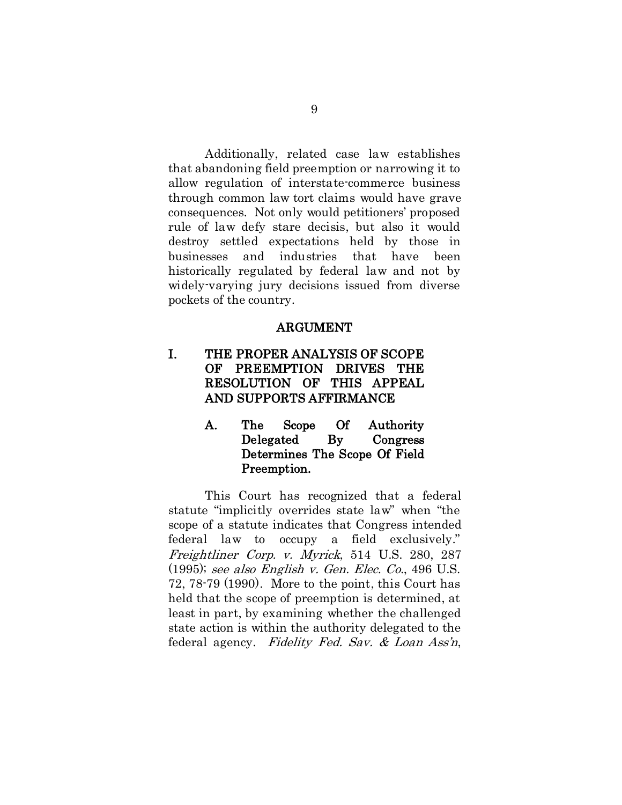Additionally, related case law establishes that abandoning field preemption or narrowing it to allow regulation of interstate-commerce business through common law tort claims would have grave consequences. Not only would petitioners' proposed rule of law defy stare decisis, but also it would destroy settled expectations held by those in businesses and industries that have been historically regulated by federal law and not by widely-varying jury decisions issued from diverse pockets of the country.

#### ARGUMENT

# I. THE PROPER ANALYSIS OF SCOPE OF PREEMPTION DRIVES THE RESOLUTION OF THIS APPEAL AND SUPPORTS AFFIRMANCE

A. The Scope Of Authority Delegated By Congress Determines The Scope Of Field Preemption.

This Court has recognized that a federal statute "implicitly overrides state law" when "the scope of a statute indicates that Congress intended federal law to occupy a field exclusively." Freightliner Corp. v. Myrick, 514 U.S. 280, 287 (1995); see also English v. Gen. Elec. Co., 496 U.S. 72, 78-79 (1990). More to the point, this Court has held that the scope of preemption is determined, at least in part, by examining whether the challenged state action is within the authority delegated to the federal agency. Fidelity Fed. Sav. & Loan Ass'n,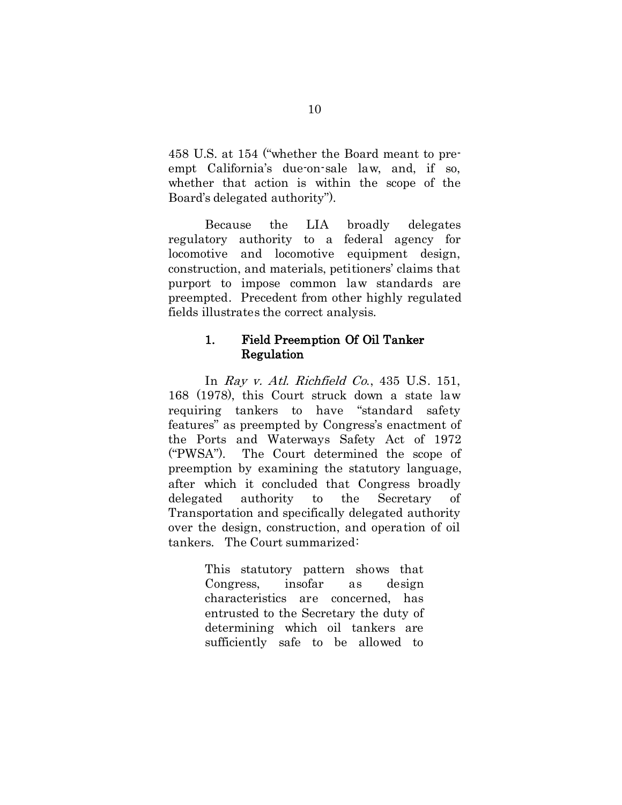458 U.S. at 154 ("whether the Board meant to preempt California's due-on-sale law, and, if so, whether that action is within the scope of the Board's delegated authority").

Because the LIA broadly delegates regulatory authority to a federal agency for locomotive and locomotive equipment design, construction, and materials, petitioners' claims that purport to impose common law standards are preempted. Precedent from other highly regulated fields illustrates the correct analysis.

#### 1. Field Preemption Of Oil Tanker Regulation

In Ray v. Atl. Richfield Co., 435 U.S. 151, 168 (1978), this Court struck down a state law requiring tankers to have "standard safety features" as preempted by Congress's enactment of the Ports and Waterways Safety Act of 1972 ("PWSA"). The Court determined the scope of preemption by examining the statutory language, after which it concluded that Congress broadly delegated authority to the Secretary of Transportation and specifically delegated authority over the design, construction, and operation of oil tankers. The Court summarized:

> This statutory pattern shows that Congress, insofar as design characteristics are concerned, has entrusted to the Secretary the duty of determining which oil tankers are sufficiently safe to be allowed to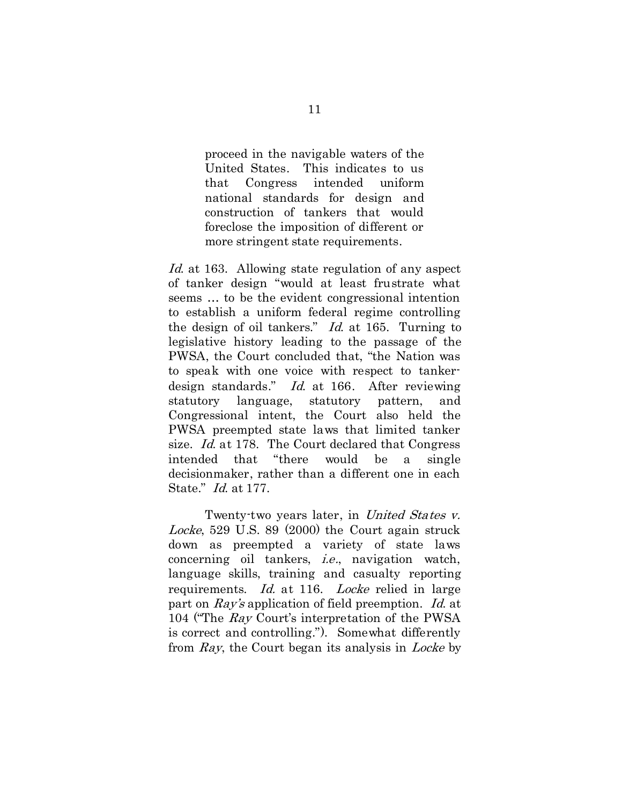proceed in the navigable waters of the United States. This indicates to us that Congress intended uniform national standards for design and construction of tankers that would foreclose the imposition of different or more stringent state requirements.

Id. at 163. Allowing state regulation of any aspect of tanker design "would at least frustrate what seems … to be the evident congressional intention to establish a uniform federal regime controlling the design of oil tankers." Id. at 165. Turning to legislative history leading to the passage of the PWSA, the Court concluded that, "the Nation was to speak with one voice with respect to tankerdesign standards." Id. at 166. After reviewing statutory language, statutory pattern, and Congressional intent, the Court also held the PWSA preempted state laws that limited tanker size. Id. at 178. The Court declared that Congress intended that "there would be a single decisionmaker, rather than a different one in each State." Id. at 177.

Twenty-two years later, in United States v. Locke, 529 U.S. 89 (2000) the Court again struck down as preempted a variety of state laws concerning oil tankers, i.e., navigation watch, language skills, training and casualty reporting requirements. *Id.* at 116. *Locke* relied in large part on Ray's application of field preemption. Id. at 104 ("The Ray Court's interpretation of the PWSA is correct and controlling."). Somewhat differently from Ray, the Court began its analysis in Locke by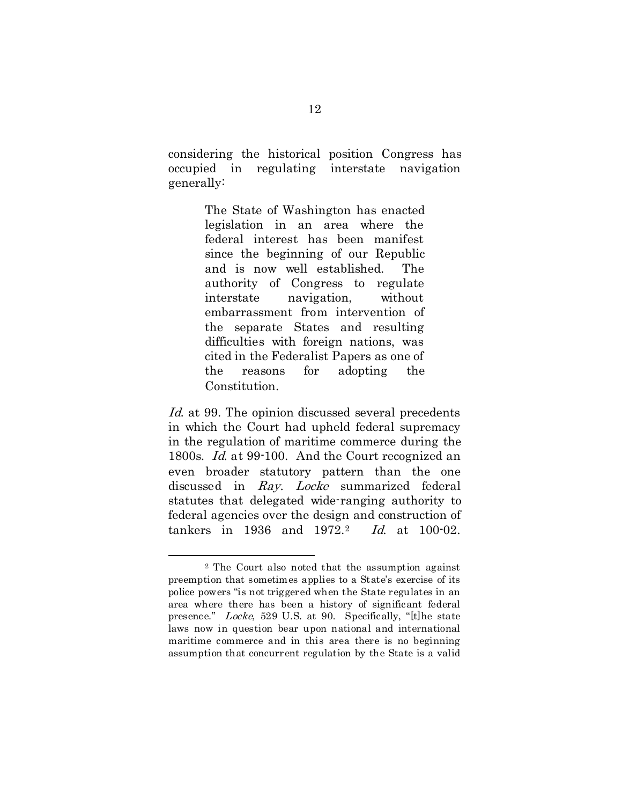considering the historical position Congress has occupied in regulating interstate navigation generally:

> The State of Washington has enacted legislation in an area where the federal interest has been manifest since the beginning of our Republic and is now well established. The authority of Congress to regulate interstate navigation, without embarrassment from intervention of the separate States and resulting difficulties with foreign nations, was cited in the Federalist Papers as one of the reasons for adopting the Constitution.

Id. at 99. The opinion discussed several precedents in which the Court had upheld federal supremacy in the regulation of maritime commerce during the 1800s. Id. at 99-100. And the Court recognized an even broader statutory pattern than the one discussed in Ray. Locke summarized federal statutes that delegated wide-ranging authority to federal agencies over the design and construction of tankers in 1936 and 1972.[2](#page-20-0) Id. at 100-02.

<span id="page-20-0"></span> <sup>2</sup> The Court also noted that the assumption against preemption that sometimes applies to a State's exercise of its police powers "is not triggered when the State regulates in an area where there has been a history of significant federal presence." Locke, 529 U.S. at 90. Specifically, "[t]he state laws now in question bear upon national and international maritime commerce and in this area there is no beginning assumption that concurrent regulation by the State is a valid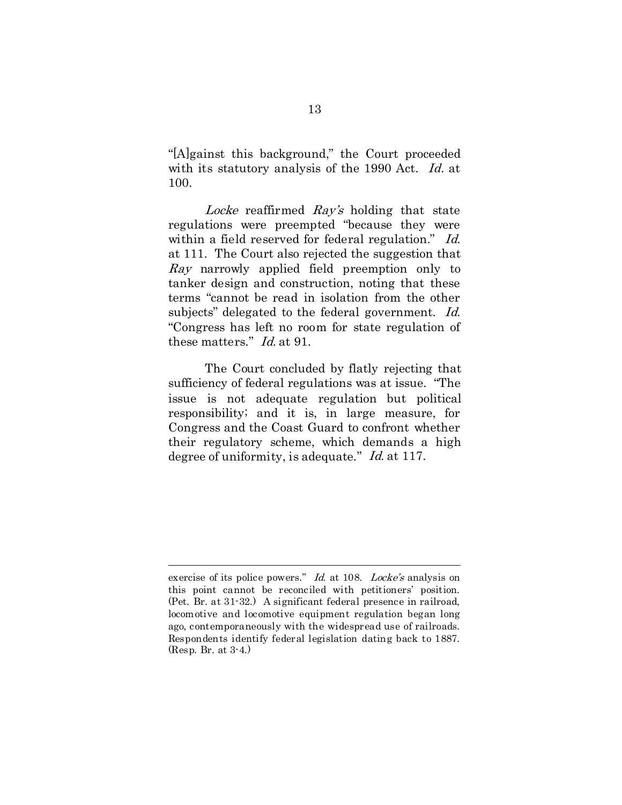"[A]gainst this background," the Court proceeded with its statutory analysis of the 1990 Act. Id. at 100.

Locke reaffirmed Ray's holding that state regulations were preempted "because they were within a field reserved for federal regulation." Id. at 111. The Court also rejected the suggestion that Ray narrowly applied field preemption only to tanker design and construction, noting that these terms "cannot be read in isolation from the other subjects" delegated to the federal government. Id. "Congress has left no room for state regulation of these matters." Id. at 91.

The Court concluded by flatly rejecting that sufficiency of federal regulations was at issue. "The issue is not adequate regulation but political responsibility; and it is, in large measure, for Congress and the Coast Guard to confront whether their regulatory scheme, which demands a high degree of uniformity, is adequate." *Id.* at 117.

 $\overline{a}$ 

exercise of its police powers." Id. at 108. Locke's analysis on this point cannot be reconciled with petitioners' position. (Pet. Br. at 31-32.) A significant federal presence in railroad, locomotive and locomotive equipment regulation began long ago, contemporaneously with the widespread use of railroads. Respondents identify federal legislation dating back to 1887. (Resp. Br. at 3-4.)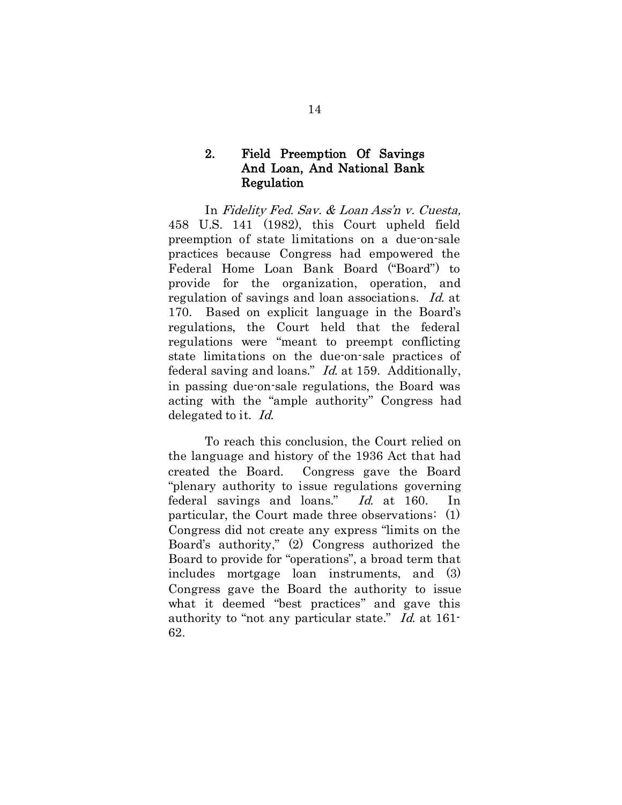### 2. Field Preemption Of Savings And Loan, And National Bank Regulation

In Fidelity Fed. Sav. & Loan Ass'n v. Cuesta, 458 U.S. 141 (1982), this Court upheld field preemption of state limitations on a due-on-sale practices because Congress had empowered the Federal Home Loan Bank Board ("Board") to provide for the organization, operation, and regulation of savings and loan associations. Id. at 170. Based on explicit language in the Board's regulations, the Court held that the federal regulations were "meant to preempt conflicting state limitations on the due-on-sale practices of federal saving and loans." Id. at 159. Additionally, in passing due-on-sale regulations, the Board was acting with the "ample authority" Congress had delegated to it. Id.

To reach this conclusion, the Court relied on the language and history of the 1936 Act that had created the Board. Congress gave the Board "plenary authority to issue regulations governing federal savings and loans." Id. at 160. In particular, the Court made three observations: (1) Congress did not create any express "limits on the Board's authority," (2) Congress authorized the Board to provide for "operations", a broad term that includes mortgage loan instruments, and (3) Congress gave the Board the authority to issue what it deemed "best practices" and gave this authority to "not any particular state." Id. at 161- 62.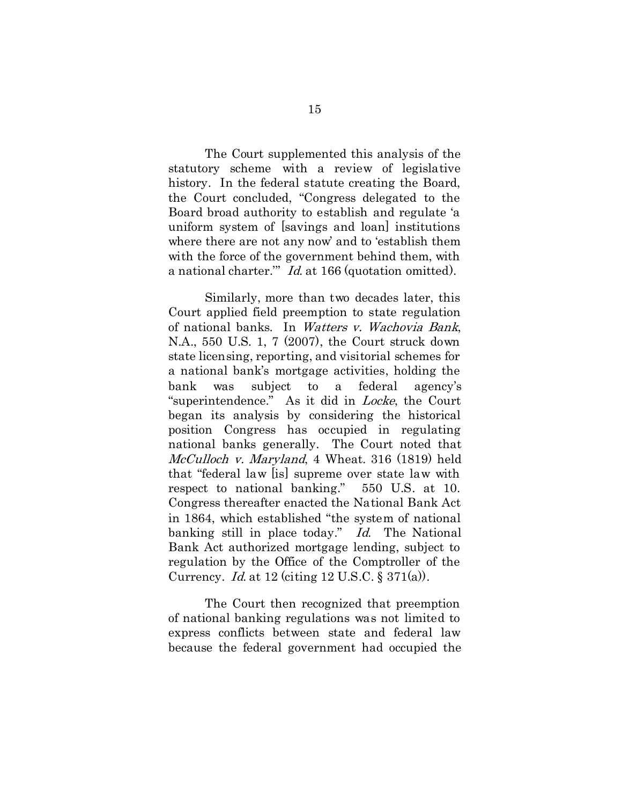The Court supplemented this analysis of the statutory scheme with a review of legislative history. In the federal statute creating the Board, the Court concluded, "Congress delegated to the Board broad authority to establish and regulate 'a uniform system of [savings and loan] institutions where there are not any now' and to 'establish them with the force of the government behind them, with a national charter.'" Id. at 166 (quotation omitted).

Similarly, more than two decades later, this Court applied field preemption to state regulation of national banks. In Watters v. Wachovia Bank, N.A., 550 U.S. 1, 7 (2007), the Court struck down state licensing, reporting, and visitorial schemes for a national bank's mortgage activities, holding the bank was subject to a federal agency's "superintendence." As it did in Locke, the Court began its analysis by considering the historical position Congress has occupied in regulating national banks generally. The Court noted that McCulloch v. Maryland, 4 Wheat. 316 (1819) held that "federal law [is] supreme over state law with respect to national banking." 550 U.S. at 10. Congress thereafter enacted the National Bank Act in 1864, which established "the system of national banking still in place today." Id. The National Bank Act authorized mortgage lending, subject to regulation by the Office of the Comptroller of the Currency. Id. at 12 (citing 12 U.S.C. § 371(a)).

The Court then recognized that preemption of national banking regulations was not limited to express conflicts between state and federal law because the federal government had occupied the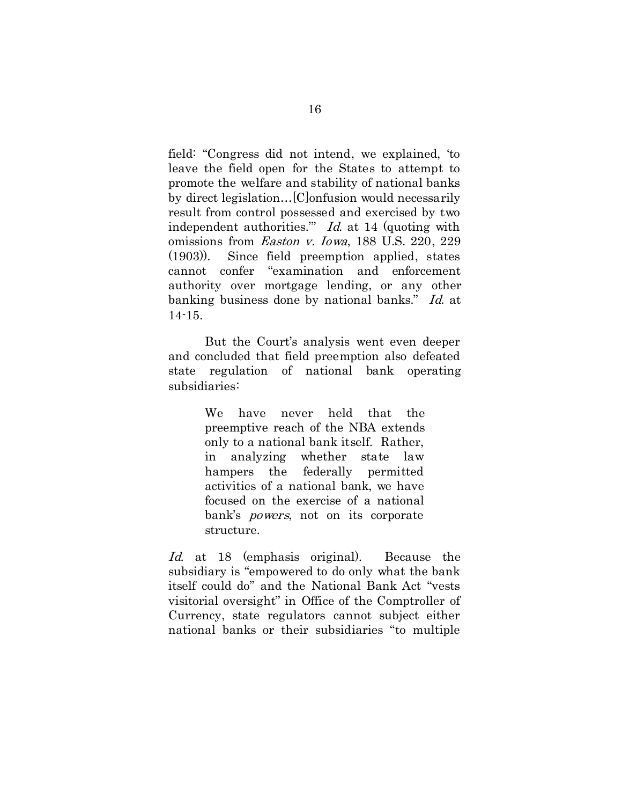field: "Congress did not intend, we explained, 'to leave the field open for the States to attempt to promote the welfare and stability of national banks by direct legislation…[C]onfusion would necessarily result from control possessed and exercised by two independent authorities." *Id.* at 14 (quoting with omissions from Easton v. Iowa, 188 U.S. 220, 229 (1903)). Since field preemption applied, states cannot confer "examination and enforcement authority over mortgage lending, or any other banking business done by national banks." Id. at 14-15.

But the Court's analysis went even deeper and concluded that field preemption also defeated state regulation of national bank operating subsidiaries:

> We have never held that the preemptive reach of the NBA extends only to a national bank itself. Rather, in analyzing whether state law hampers the federally permitted activities of a national bank, we have focused on the exercise of a national bank's *powers*, not on its corporate structure.

Id. at 18 (emphasis original). Because the subsidiary is "empowered to do only what the bank itself could do" and the National Bank Act "vests visitorial oversight" in Office of the Comptroller of Currency, state regulators cannot subject either national banks or their subsidiaries "to multiple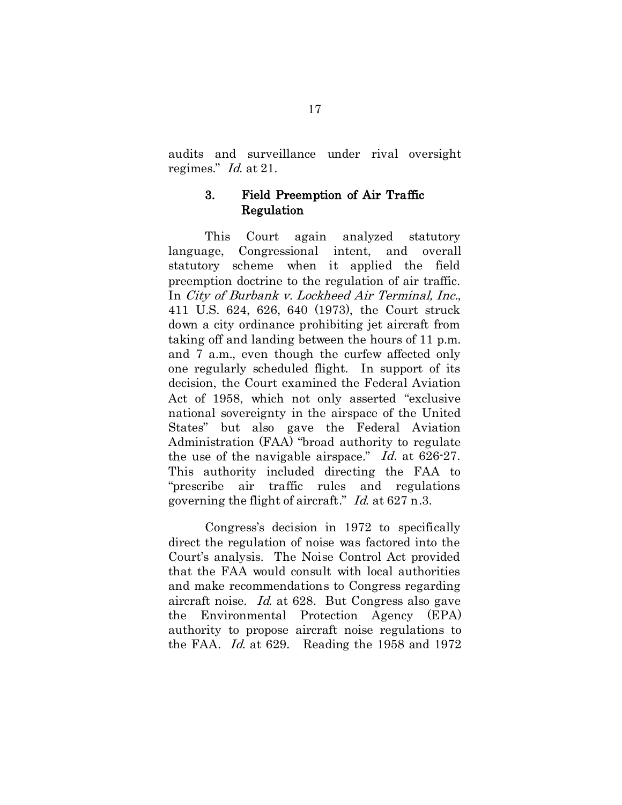audits and surveillance under rival oversight regimes." Id. at 21.

#### 3. Field Preemption of Air Traffic Regulation

This Court again analyzed statutory language, Congressional intent, and overall statutory scheme when it applied the field preemption doctrine to the regulation of air traffic. In City of Burbank v. Lockheed Air Terminal, Inc., 411 U.S. 624, 626, 640 (1973), the Court struck down a city ordinance prohibiting jet aircraft from taking off and landing between the hours of 11 p.m. and 7 a.m., even though the curfew affected only one regularly scheduled flight. In support of its decision, the Court examined the Federal Aviation Act of 1958, which not only asserted "exclusive national sovereignty in the airspace of the United States" but also gave the Federal Aviation Administration (FAA) "broad authority to regulate the use of the navigable airspace." Id. at 626-27. This authority included directing the FAA to "prescribe air traffic rules and regulations governing the flight of aircraft." Id. at 627 n.3.

Congress's decision in 1972 to specifically direct the regulation of noise was factored into the Court's analysis. The Noise Control Act provided that the FAA would consult with local authorities and make recommendations to Congress regarding aircraft noise. Id. at 628. But Congress also gave the Environmental Protection Agency (EPA) authority to propose aircraft noise regulations to the FAA. Id. at 629. Reading the 1958 and 1972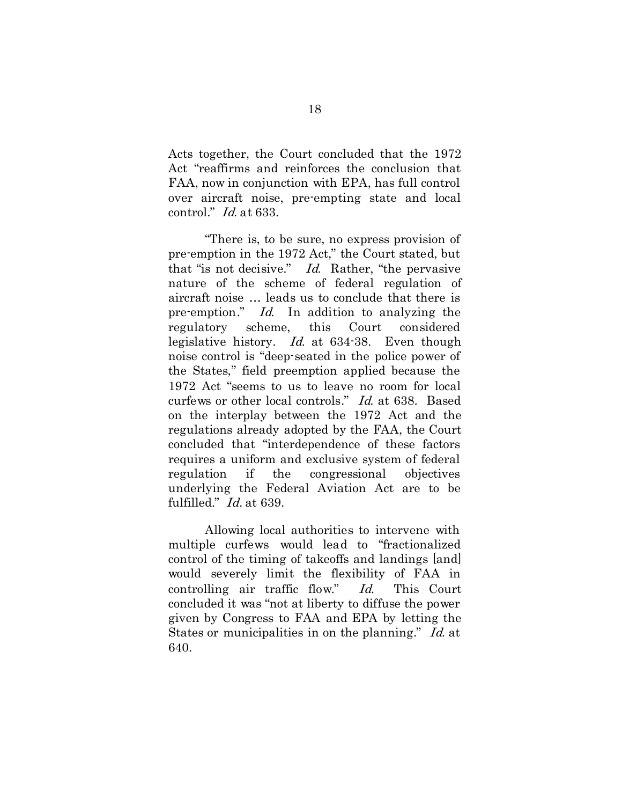Acts together, the Court concluded that the 1972 Act "reaffirms and reinforces the conclusion that FAA, now in conjunction with EPA, has full control over aircraft noise, pre-empting state and local control." Id. at 633.

"There is, to be sure, no express provision of pre-emption in the 1972 Act," the Court stated, but that "is not decisive." Id. Rather, "the pervasive nature of the scheme of federal regulation of aircraft noise … leads us to conclude that there is pre-emption." Id. In addition to analyzing the regulatory scheme, this Court considered legislative history. Id. at 634-38. Even though noise control is "deep-seated in the police power of the States," field preemption applied because the 1972 Act "seems to us to leave no room for local curfews or other local controls." Id. at 638. Based on the interplay between the 1972 Act and the regulations already adopted by the FAA, the Court concluded that "interdependence of these factors requires a uniform and exclusive system of federal regulation if the congressional objectives underlying the Federal Aviation Act are to be fulfilled." Id. at 639.

Allowing local authorities to intervene with multiple curfews would lead to "fractionalized control of the timing of takeoffs and landings [and] would severely limit the flexibility of FAA in controlling air traffic flow." Id. This Court concluded it was "not at liberty to diffuse the power given by Congress to FAA and EPA by letting the States or municipalities in on the planning." Id. at 640.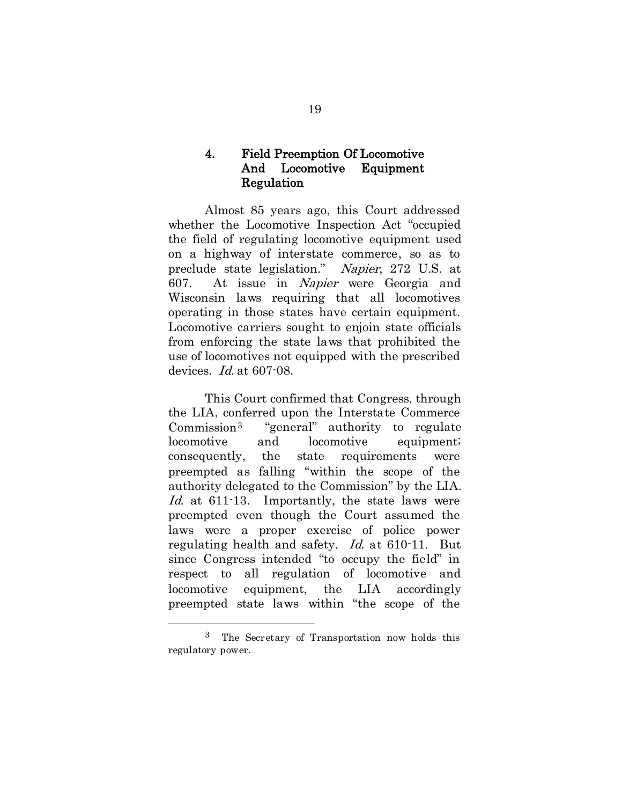### 4. Field Preemption Of Locomotive And Locomotive Equipment Regulation

Almost 85 years ago, this Court addressed whether the Locomotive Inspection Act "occupied the field of regulating locomotive equipment used on a highway of interstate commerce, so as to preclude state legislation." Napier, 272 U.S. at 607. At issue in Napier were Georgia and Wisconsin laws requiring that all locomotives operating in those states have certain equipment. Locomotive carriers sought to enjoin state officials from enforcing the state laws that prohibited the use of locomotives not equipped with the prescribed devices. *Id.* at 607-08.

This Court confirmed that Congress, through the LIA, conferred upon the Interstate Commerce Commission[3](#page-27-0) "general" authority to regulate locomotive and locomotive equipment; consequently, the state requirements were preempted as falling "within the scope of the authority delegated to the Commission" by the LIA. Id. at 611-13. Importantly, the state laws were preempted even though the Court assumed the laws were a proper exercise of police power regulating health and safety. Id. at 610-11. But since Congress intended "to occupy the field" in respect to all regulation of locomotive and locomotive equipment, the LIA accordingly preempted state laws within "the scope of the

<span id="page-27-0"></span> <sup>3</sup> The Secretary of Transportation now holds this regulatory power.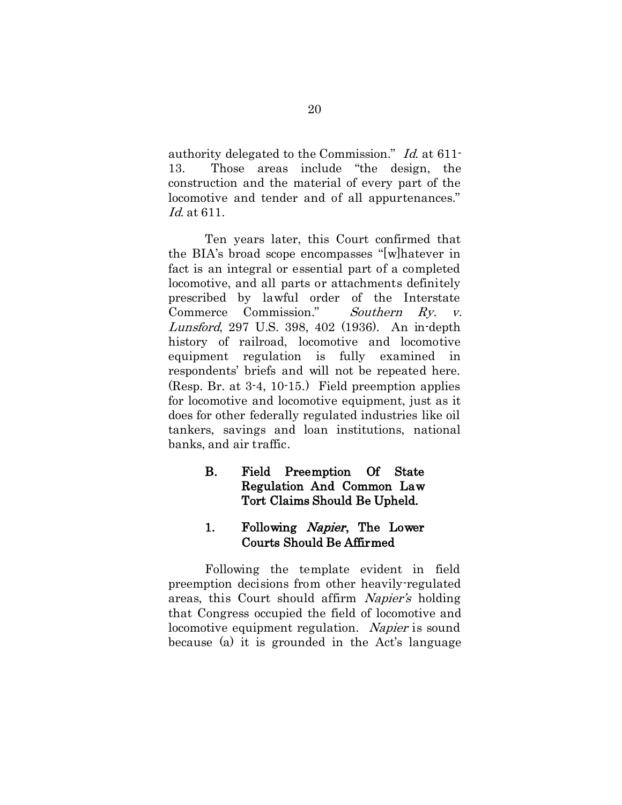authority delegated to the Commission." Id. at 611- 13. Those areas include "the design, the construction and the material of every part of the locomotive and tender and of all appurtenances." Id. at 611.

Ten years later, this Court confirmed that the BIA's broad scope encompasses "[w]hatever in fact is an integral or essential part of a completed locomotive, and all parts or attachments definitely prescribed by lawful order of the Interstate Commerce Commission." Southern Ry. v. Lunsford, 297 U.S. 398, 402 (1936). An in-depth history of railroad, locomotive and locomotive equipment regulation is fully examined in respondents' briefs and will not be repeated here. (Resp. Br. at 3-4, 10-15.) Field preemption applies for locomotive and locomotive equipment, just as it does for other federally regulated industries like oil tankers, savings and loan institutions, national banks, and air traffic.

# B. Field Preemption Of State Regulation And Common Law Tort Claims Should Be Upheld.

## 1. Following Napier, The Lower Courts Should Be Affirmed

Following the template evident in field preemption decisions from other heavily-regulated areas, this Court should affirm Napier's holding that Congress occupied the field of locomotive and locomotive equipment regulation. Napier is sound because (a) it is grounded in the Act's language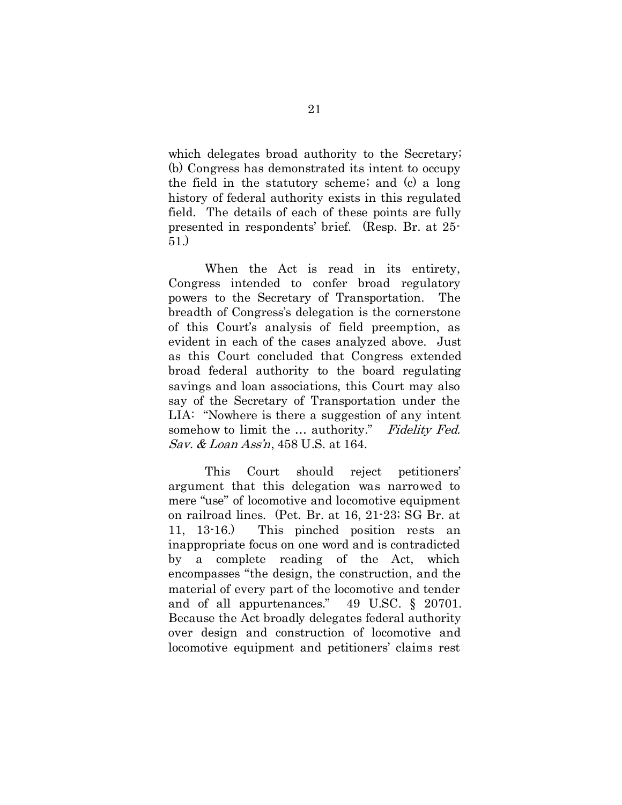which delegates broad authority to the Secretary; (b) Congress has demonstrated its intent to occupy the field in the statutory scheme; and (c) a long history of federal authority exists in this regulated field. The details of each of these points are fully presented in respondents' brief. (Resp. Br. at 25- 51.)

When the Act is read in its entirety, Congress intended to confer broad regulatory powers to the Secretary of Transportation. The breadth of Congress's delegation is the cornerstone of this Court's analysis of field preemption, as evident in each of the cases analyzed above. Just as this Court concluded that Congress extended broad federal authority to the board regulating savings and loan associations, this Court may also say of the Secretary of Transportation under the LIA: "Nowhere is there a suggestion of any intent somehow to limit the ... authority." Fidelity Fed. Sav. & Loan Ass'n, 458 U.S. at 164.

This Court should reject petitioners' argument that this delegation was narrowed to mere "use" of locomotive and locomotive equipment on railroad lines. (Pet. Br. at 16, 21-23; SG Br. at 11, 13-16.) This pinched position rests an inappropriate focus on one word and is contradicted by a complete reading of the Act, which encompasses "the design, the construction, and the material of every part of the locomotive and tender and of all appurtenances." 49 U.SC. § 20701. Because the Act broadly delegates federal authority over design and construction of locomotive and locomotive equipment and petitioners' claims rest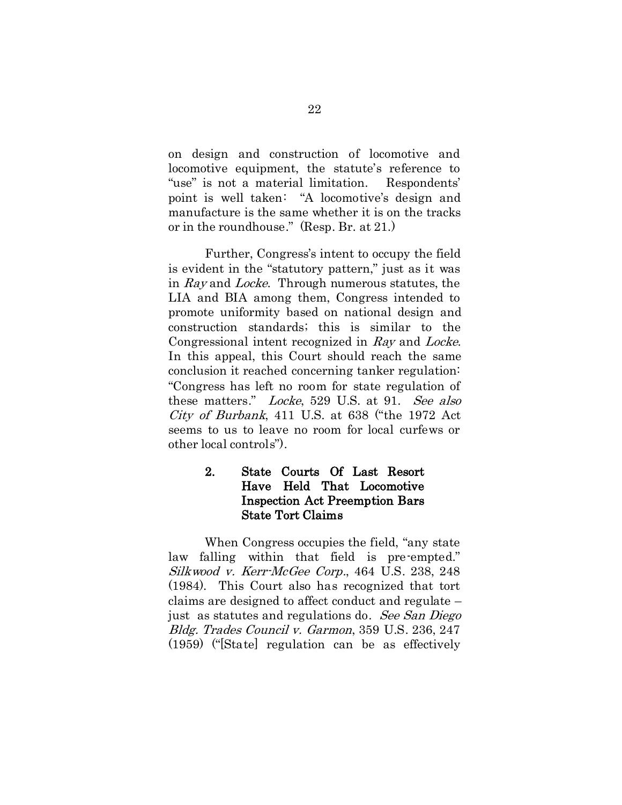on design and construction of locomotive and locomotive equipment, the statute's reference to "use" is not a material limitation. Respondents' point is well taken: "A locomotive's design and manufacture is the same whether it is on the tracks or in the roundhouse." (Resp. Br. at 21.)

Further, Congress's intent to occupy the field is evident in the "statutory pattern," just as it was in Ray and Locke. Through numerous statutes, the LIA and BIA among them, Congress intended to promote uniformity based on national design and construction standards; this is similar to the Congressional intent recognized in Ray and Locke. In this appeal, this Court should reach the same conclusion it reached concerning tanker regulation: "Congress has left no room for state regulation of these matters." Locke, 529 U.S. at 91. See also City of Burbank, 411 U.S. at 638 ("the 1972 Act seems to us to leave no room for local curfews or other local controls").

## 2. State Courts Of Last Resort Have Held That Locomotive Inspection Act Preemption Bars State Tort Claims

When Congress occupies the field, "any state law falling within that field is pre-empted." Silkwood v. Kerr-McGee Corp., 464 U.S. 238, 248 (1984). This Court also has recognized that tort claims are designed to affect conduct and regulate – just as statutes and regulations do. See San Diego Bldg. Trades Council v. Garmon, 359 U.S. 236, 247 (1959) ("[State] regulation can be as effectively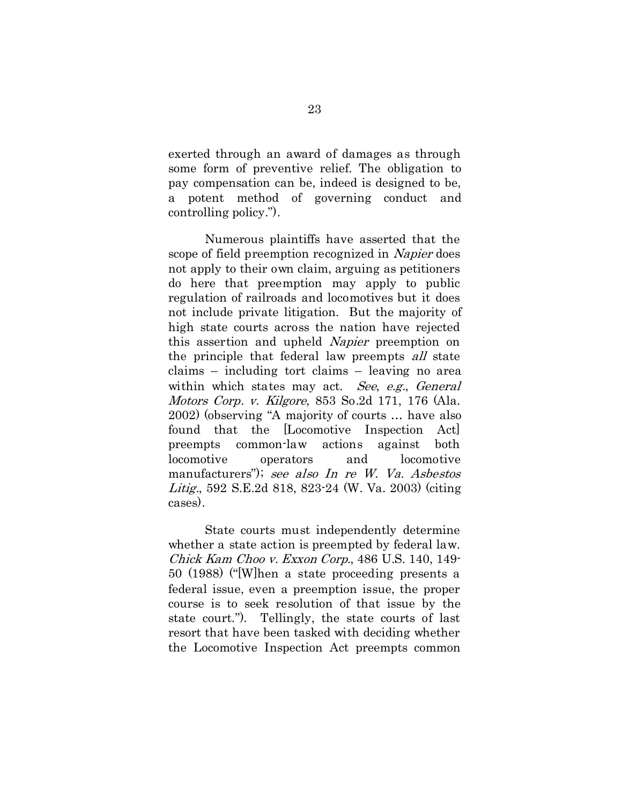exerted through an award of damages as through some form of preventive relief. The obligation to pay compensation can be, indeed is designed to be, a potent method of governing conduct and controlling policy.").

Numerous plaintiffs have asserted that the scope of field preemption recognized in Napier does not apply to their own claim, arguing as petitioners do here that preemption may apply to public regulation of railroads and locomotives but it does not include private litigation. But the majority of high state courts across the nation have rejected this assertion and upheld Napier preemption on the principle that federal law preempts all state claims – including tort claims – leaving no area within which states may act. See, e.g., General Motors Corp. v. Kilgore, 853 So.2d 171, 176 (Ala. 2002) (observing "A majority of courts … have also found that the [Locomotive Inspection Act] preempts common-law actions against both locomotive operators and locomotive manufacturers"); see also In re W. Va. Asbestos Litig., 592 S.E.2d 818, 823-24 (W. Va. 2003) (citing cases).

State courts must independently determine whether a state action is preempted by federal law. Chick Kam Choo v. Exxon Corp., 486 U.S. 140, 149- 50 (1988) ("[W]hen a state proceeding presents a federal issue, even a preemption issue, the proper course is to seek resolution of that issue by the state court."). Tellingly, the state courts of last resort that have been tasked with deciding whether the Locomotive Inspection Act preempts common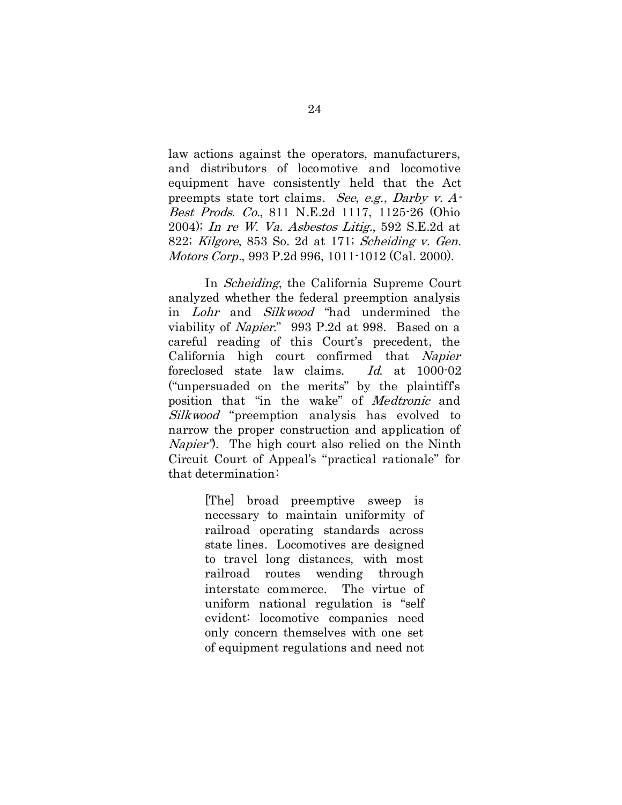law actions against the operators, manufacturers, and distributors of locomotive and locomotive equipment have consistently held that the Act preempts state tort claims. See, e.g., Darby v. A-Best Prods. Co., 811 N.E.2d 1117, 1125-26 (Ohio 2004); In re W. Va. Asbestos Litig., 592 S.E.2d at 822; Kilgore, 853 So. 2d at 171; Scheiding v. Gen. Motors Corp., 993 P.2d 996, 1011-1012 (Cal. 2000).

In *Scheiding*, the California Supreme Court analyzed whether the federal preemption analysis in Lohr and Silkwood "had undermined the viability of Napier." 993 P.2d at 998. Based on a careful reading of this Court's precedent, the California high court confirmed that Napier foreclosed state law claims. Id. at 1000-02 ("unpersuaded on the merits" by the plaintiff's position that "in the wake" of Medtronic and Silkwood "preemption analysis has evolved to narrow the proper construction and application of Napier"). The high court also relied on the Ninth Circuit Court of Appeal's "practical rationale" for that determination:

> [The] broad preemptive sweep is necessary to maintain uniformity of railroad operating standards across state lines. Locomotives are designed to travel long distances, with most railroad routes wending through interstate commerce. The virtue of uniform national regulation is "self evident: locomotive companies need only concern themselves with one set of equipment regulations and need not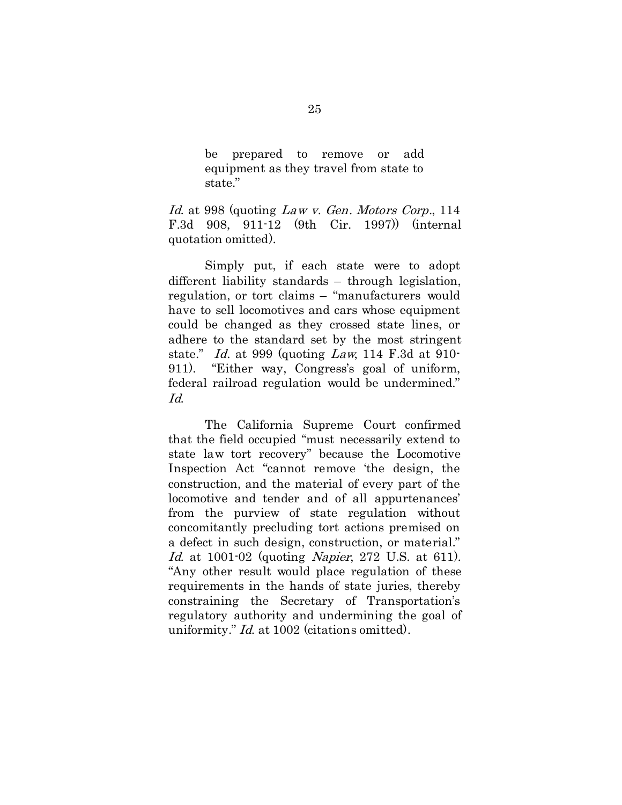be prepared to remove or add equipment as they travel from state to state."

Id. at 998 (quoting Law v. Gen. Motors Corp., 114 F.3d 908, 911-12 (9th Cir. 1997)) (internal quotation omitted).

Simply put, if each state were to adopt different liability standards – through legislation, regulation, or tort claims – "manufacturers would have to sell locomotives and cars whose equipment could be changed as they crossed state lines, or adhere to the standard set by the most stringent state." Id. at 999 (quoting Law, 114 F.3d at 910-911). "Either way, Congress's goal of uniform, federal railroad regulation would be undermined." Id.

The California Supreme Court confirmed that the field occupied "must necessarily extend to state law tort recovery" because the Locomotive Inspection Act "cannot remove 'the design, the construction, and the material of every part of the locomotive and tender and of all appurtenances' from the purview of state regulation without concomitantly precluding tort actions premised on a defect in such design, construction, or material." Id. at 1001-02 (quoting *Napier*, 272 U.S. at 611). "Any other result would place regulation of these requirements in the hands of state juries, thereby constraining the Secretary of Transportation's regulatory authority and undermining the goal of uniformity." *Id.* at 1002 (citations omitted).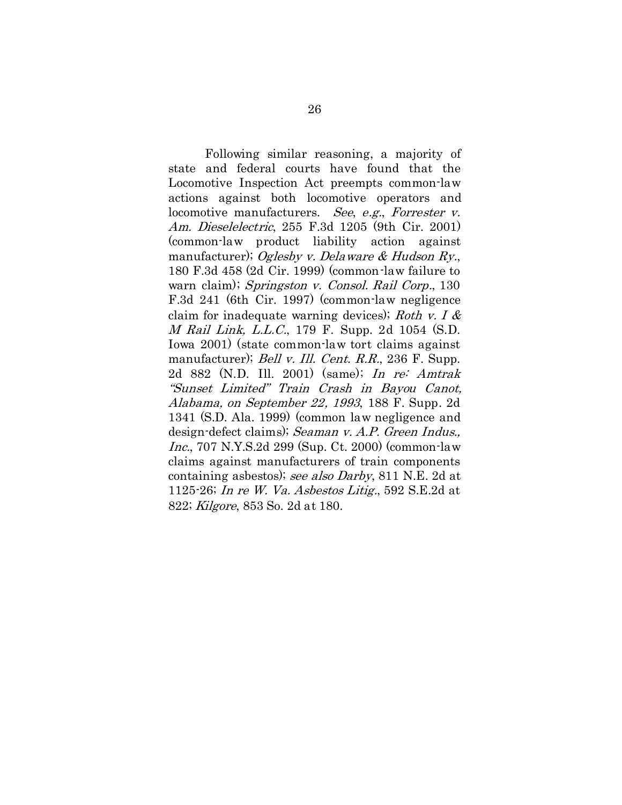Following similar reasoning, a majority of state and federal courts have found that the Locomotive Inspection Act preempts common-law actions against both locomotive operators and locomotive manufacturers. See, e.g., Forrester v. Am. Dieselelectric, 255 F.3d 1205 (9th Cir. 2001) (common-law product liability action against manufacturer); Oglesby v. Delaware & Hudson Ry., 180 F.3d 458 (2d Cir. 1999) (common-law failure to warn claim); Springston v. Consol. Rail Corp., 130 F.3d 241 (6th Cir. 1997) (common-law negligence claim for inadequate warning devices); Roth v. I  $\&$ M Rail Link, L.L.C., 179 F. Supp. 2d 1054 (S.D. Iowa 2001) (state common-law tort claims against manufacturer); *Bell v. Ill. Cent. R.R.*, 236 F. Supp. 2d 882 (N.D. Ill. 2001) (same); In re: Amtrak "Sunset Limited" Train Crash in Bayou Canot, Alabama, on September 22, 1993, 188 F. Supp. 2d 1341 (S.D. Ala. 1999) (common law negligence and design-defect claims); Seaman v. A.P. Green Indus., Inc., 707 N.Y.S.2d 299 (Sup. Ct. 2000) (common-law claims against manufacturers of train components containing asbestos); see also Darby, 811 N.E. 2d at 1125-26; In re W. Va. Asbestos Litig., 592 S.E.2d at 822; Kilgore, 853 So. 2d at 180.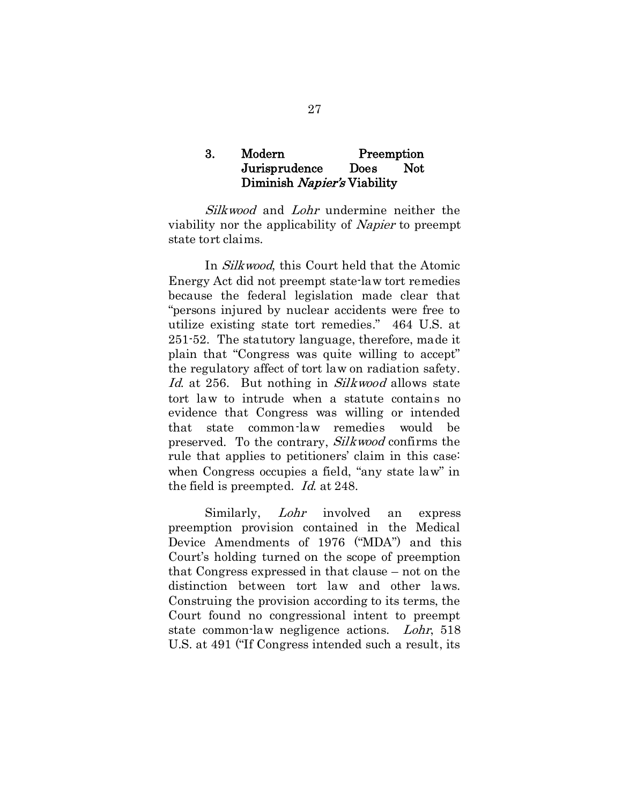#### 3. Modern Preemption Jurisprudence Does Not Diminish Napier's Viability

Silkwood and Lohr undermine neither the viability nor the applicability of Napier to preempt state tort claims.

In Silkwood, this Court held that the Atomic Energy Act did not preempt state-law tort remedies because the federal legislation made clear that "persons injured by nuclear accidents were free to utilize existing state tort remedies." 464 U.S. at 251-52. The statutory language, therefore, made it plain that "Congress was quite willing to accept" the regulatory affect of tort law on radiation safety. Id. at 256. But nothing in Silkwood allows state tort law to intrude when a statute contains no evidence that Congress was willing or intended that state common-law remedies would be preserved. To the contrary, Silkwood confirms the rule that applies to petitioners' claim in this case: when Congress occupies a field, "any state law" in the field is preempted. Id. at 248.

Similarly, Lohr involved an express preemption provision contained in the Medical Device Amendments of 1976 ("MDA") and this Court's holding turned on the scope of preemption that Congress expressed in that clause – not on the distinction between tort law and other laws. Construing the provision according to its terms, the Court found no congressional intent to preempt state common-law negligence actions. Lohr, 518 U.S. at 491 ("If Congress intended such a result, its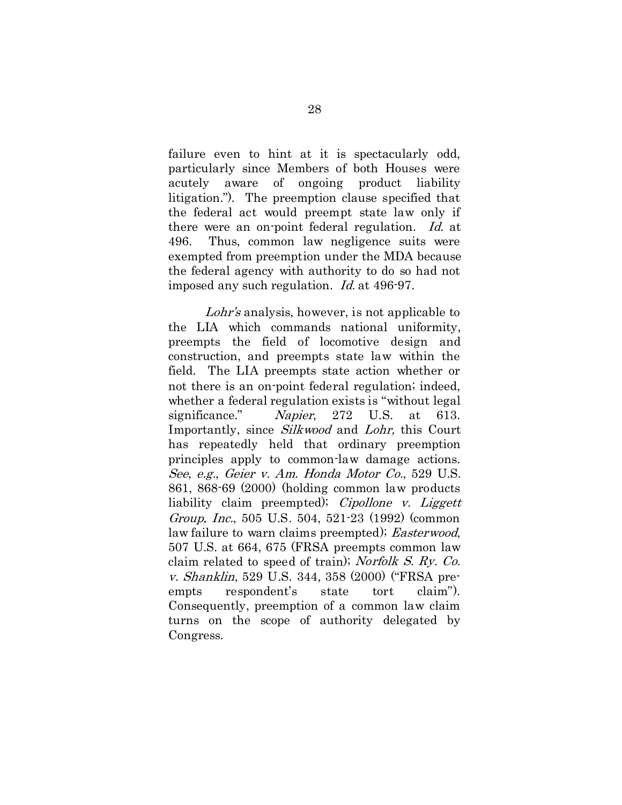failure even to hint at it is spectacularly odd, particularly since Members of both Houses were acutely aware of ongoing product liability litigation."). The preemption clause specified that the federal act would preempt state law only if there were an on-point federal regulation. Id. at 496. Thus, common law negligence suits were exempted from preemption under the MDA because the federal agency with authority to do so had not imposed any such regulation. Id. at 496-97.

Lohr's analysis, however, is not applicable to the LIA which commands national uniformity, preempts the field of locomotive design and construction, and preempts state law within the field. The LIA preempts state action whether or not there is an on-point federal regulation; indeed, whether a federal regulation exists is "without legal significance." Napier, 272 U.S. at 613. Importantly, since Silkwood and Lohr, this Court has repeatedly held that ordinary preemption principles apply to common-law damage actions. See, e.g., Geier v. Am. Honda Motor Co., 529 U.S. 861, 868-69 (2000) (holding common law products liability claim preempted); *Cipollone v. Liggett* Group, Inc., 505 U.S. 504, 521-23 (1992) (common law failure to warn claims preempted); *Easterwood*, 507 U.S. at 664, 675 (FRSA preempts common law claim related to speed of train); Norfolk S. Ry. Co. v. Shanklin, 529 U.S. 344, 358 (2000) ("FRSA preempts respondent's state tort claim"). Consequently, preemption of a common law claim turns on the scope of authority delegated by Congress.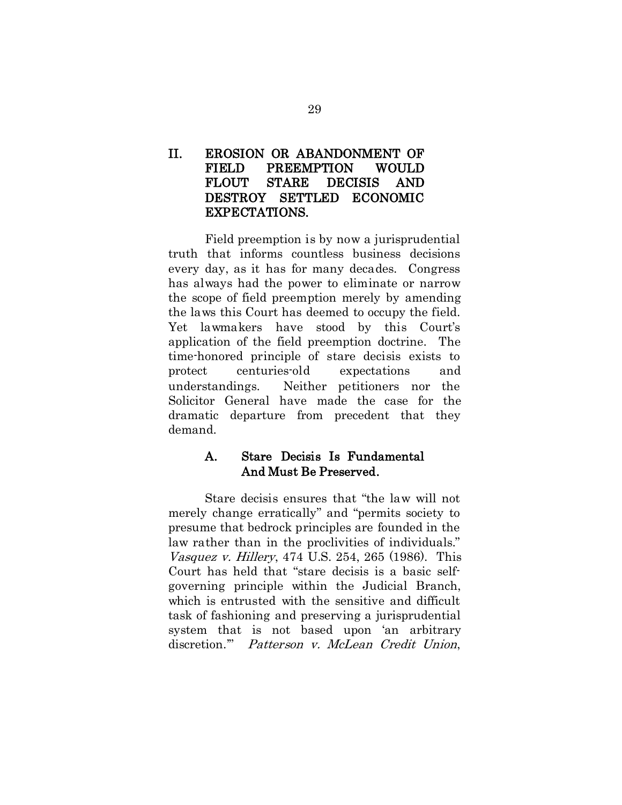# II. EROSION OR ABANDONMENT OF FIELD PREEMPTION WOULD FLOUT STARE DECISIS AND DESTROY SETTLED ECONOMIC EXPECTATIONS.

Field preemption is by now a jurisprudential truth that informs countless business decisions every day, as it has for many decades. Congress has always had the power to eliminate or narrow the scope of field preemption merely by amending the laws this Court has deemed to occupy the field. Yet lawmakers have stood by this Court's application of the field preemption doctrine. The time-honored principle of stare decisis exists to protect centuries-old expectations and understandings. Neither petitioners nor the Solicitor General have made the case for the dramatic departure from precedent that they demand.

# A. Stare Decisis Is Fundamental And Must Be Preserved.

Stare decisis ensures that "the law will not merely change erratically" and "permits society to presume that bedrock principles are founded in the law rather than in the proclivities of individuals." Vasquez v. Hillery, 474 U.S. 254, 265 (1986). This Court has held that "stare decisis is a basic selfgoverning principle within the Judicial Branch, which is entrusted with the sensitive and difficult task of fashioning and preserving a jurisprudential system that is not based upon 'an arbitrary discretion.'" Patterson v. McLean Credit Union,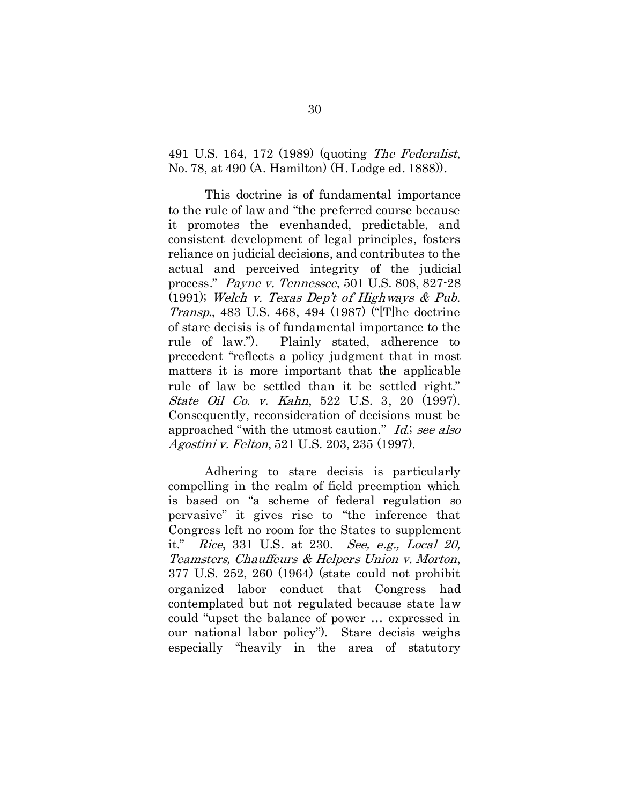491 U.S. 164, 172 (1989) (quoting The Federalist, No. 78, at 490 (A. Hamilton) (H. Lodge ed. 1888)).

This doctrine is of fundamental importance to the rule of law and "the preferred course because it promotes the evenhanded, predictable, and consistent development of legal principles, fosters reliance on judicial decisions, and contributes to the actual and perceived integrity of the judicial process." Payne v. Tennessee, 501 U.S. 808, 827-28 (1991); Welch v. Texas Dep't of Highways & Pub. Transp., 483 U.S. 468, 494 (1987) ("[T]he doctrine of stare decisis is of fundamental importance to the rule of law."). Plainly stated, adherence to precedent "reflects a policy judgment that in most matters it is more important that the applicable rule of law be settled than it be settled right." State Oil Co. v. Kahn, 522 U.S. 3, 20 (1997). Consequently, reconsideration of decisions must be approached "with the utmost caution." Id.; see also Agostini v. Felton, 521 U.S. 203, 235 (1997).

Adhering to stare decisis is particularly compelling in the realm of field preemption which is based on "a scheme of federal regulation so pervasive" it gives rise to "the inference that Congress left no room for the States to supplement it." Rice, 331 U.S. at 230. See, e.g., Local 20, Teamsters, Chauffeurs & Helpers Union v. Morton, 377 U.S. 252, 260 (1964) (state could not prohibit organized labor conduct that Congress had contemplated but not regulated because state law could "upset the balance of power … expressed in our national labor policy"). Stare decisis weighs especially "heavily in the area of statutory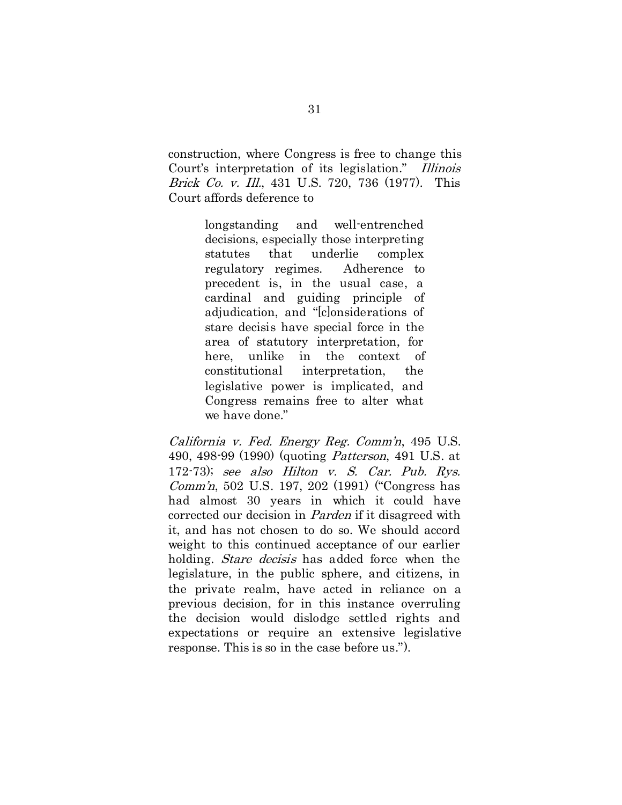construction, where Congress is free to change this Court's interpretation of its legislation." Illinois Brick Co. v. Ill., 431 U.S. 720, 736 (1977). This Court affords deference to

> longstanding and well-entrenched decisions, especially those interpreting statutes that underlie complex regulatory regimes. Adherence to precedent is, in the usual case, a cardinal and guiding principle of adjudication, and "[c]onsiderations of stare decisis have special force in the area of statutory interpretation, for here, unlike in the context of constitutional interpretation, the legislative power is implicated, and Congress remains free to alter what we have done."

California v. Fed. Energy Reg. Comm'n, 495 U.S. 490, 498-99 (1990) (quoting Patterson, 491 U.S. at 172-73); see also Hilton v. S. Car. Pub. Rys. Comm'n, 502 U.S. 197, 202 (1991) ("Congress has had almost 30 years in which it could have corrected our decision in Parden if it disagreed with it, and has not chosen to do so. We should accord weight to this continued acceptance of our earlier holding. *Stare decisis* has added force when the legislature, in the public sphere, and citizens, in the private realm, have acted in reliance on a previous decision, for in this instance overruling the decision would dislodge settled rights and expectations or require an extensive legislative response. This is so in the case before us.").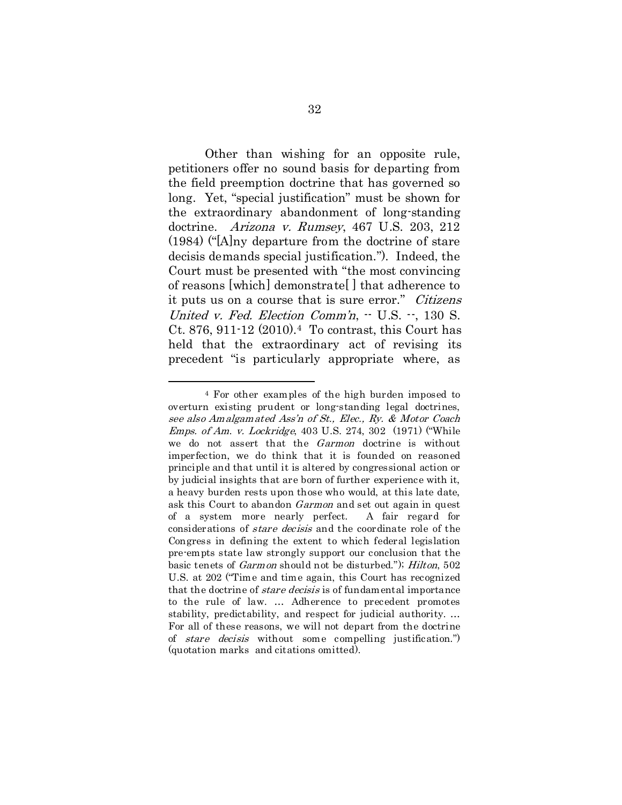Other than wishing for an opposite rule, petitioners offer no sound basis for departing from the field preemption doctrine that has governed so long. Yet, "special justification" must be shown for the extraordinary abandonment of long-standing doctrine. Arizona v. Rumsey, 467 U.S. 203, 212 (1984) ("[A]ny departure from the doctrine of stare decisis demands special justification."). Indeed, the Court must be presented with "the most convincing of reasons [which] demonstrate[ ] that adherence to it puts us on a course that is sure error." Citizens United v. Fed. Election Comm'n,  $-$  U.S.  $-$ , 130 S. Ct. 876, 911-12 (2010)[.4](#page-40-0) To contrast, this Court has held that the extraordinary act of revising its precedent "is particularly appropriate where, as

<span id="page-40-0"></span> <sup>4</sup> For other examples of the high burden imposed to overturn existing prudent or long-standing legal doctrines, see also Amalgamated Ass'n of St., Elec., Ry. & Motor Coach Emps. of Am. v. Lockridge, 403 U.S. 274, 302 (1971) ("While we do not assert that the Garmon doctrine is without imperfection, we do think that it is founded on reasoned principle and that until it is altered by congressional action or by judicial insights that are born of further experience with it, a heavy burden rests upon those who would, at this late date, ask this Court to abandon Garmon and set out again in quest of a system more nearly perfect. A fair regard for considerations of stare decisis and the coordinate role of the Congress in defining the extent to which federal legislation pre-empts state law strongly support our conclusion that the basic tenets of Garmon should not be disturbed."); Hilton, 502 U.S. at 202 ("Time and time again, this Court has recognized that the doctrine of *stare decisis* is of fundamental importance to the rule of law. … Adherence to precedent promotes stability, predictability, and respect for judicial authority. … For all of these reasons, we will not depart from the doctrine of stare decisis without some compelling justification.") (quotation marks and citations omitted).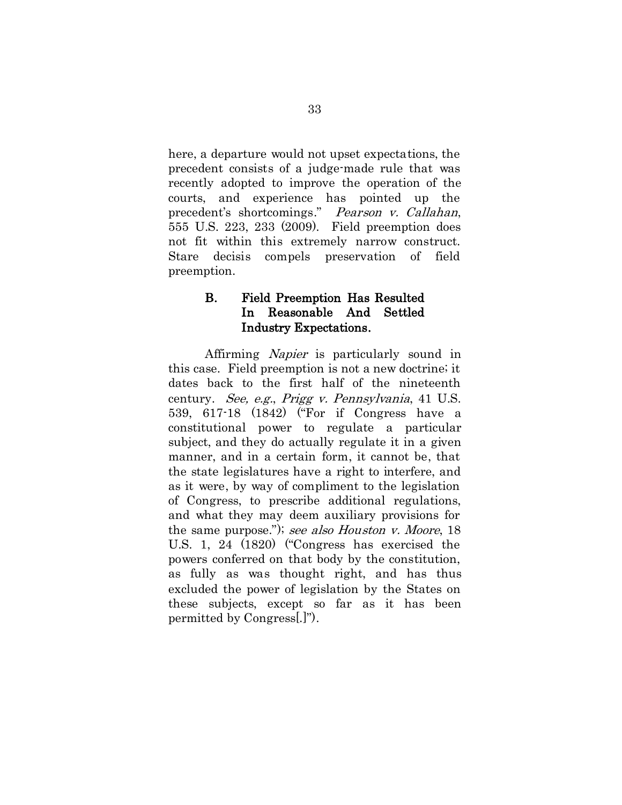here, a departure would not upset expectations, the precedent consists of a judge-made rule that was recently adopted to improve the operation of the courts, and experience has pointed up the precedent's shortcomings." Pearson v. Callahan, 555 U.S. 223, 233 (2009). Field preemption does not fit within this extremely narrow construct. Stare decisis compels preservation of field preemption.

# B. Field Preemption Has Resulted In Reasonable And Settled Industry Expectations.

Affirming Napier is particularly sound in this case. Field preemption is not a new doctrine; it dates back to the first half of the nineteenth century. See, e.g., Prigg v. Pennsylvania, 41 U.S. 539, 617-18 (1842) ("For if Congress have a constitutional power to regulate a particular subject, and they do actually regulate it in a given manner, and in a certain form, it cannot be, that the state legislatures have a right to interfere, and as it were, by way of compliment to the legislation of Congress, to prescribe additional regulations, and what they may deem auxiliary provisions for the same purpose."); see also Houston v. Moore, 18 U.S. 1, 24 (1820) ("Congress has exercised the powers conferred on that body by the constitution, as fully as was thought right, and has thus excluded the power of legislation by the States on these subjects, except so far as it has been permitted by Congress[.]").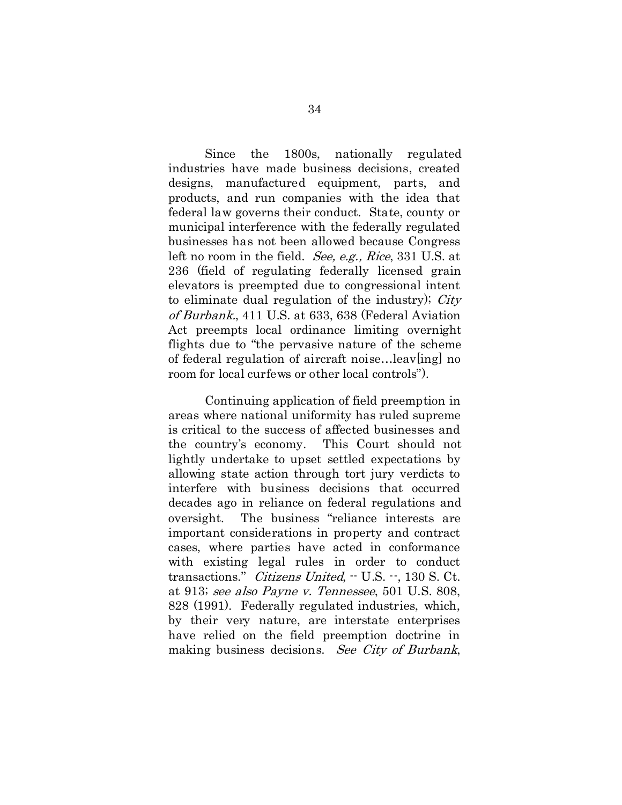Since the 1800s, nationally regulated industries have made business decisions, created designs, manufactured equipment, parts, and products, and run companies with the idea that federal law governs their conduct. State, county or municipal interference with the federally regulated businesses has not been allowed because Congress left no room in the field. *See, e.g., Rice*, 331 U.S. at 236 (field of regulating federally licensed grain elevators is preempted due to congressional intent to eliminate dual regulation of the industry); City of Burbank., 411 U.S. at 633, 638 (Federal Aviation Act preempts local ordinance limiting overnight flights due to "the pervasive nature of the scheme of federal regulation of aircraft noise…leav[ing] no room for local curfews or other local controls").

Continuing application of field preemption in areas where national uniformity has ruled supreme is critical to the success of affected businesses and the country's economy. This Court should not lightly undertake to upset settled expectations by allowing state action through tort jury verdicts to interfere with business decisions that occurred decades ago in reliance on federal regulations and oversight. The business "reliance interests are important considerations in property and contract cases, where parties have acted in conformance with existing legal rules in order to conduct transactions." *Citizens United.*  $-$  U.S.  $-$ , 130 S. Ct. at 913; see also Payne v. Tennessee, 501 U.S. 808, 828 (1991). Federally regulated industries, which, by their very nature, are interstate enterprises have relied on the field preemption doctrine in making business decisions. See City of Burbank,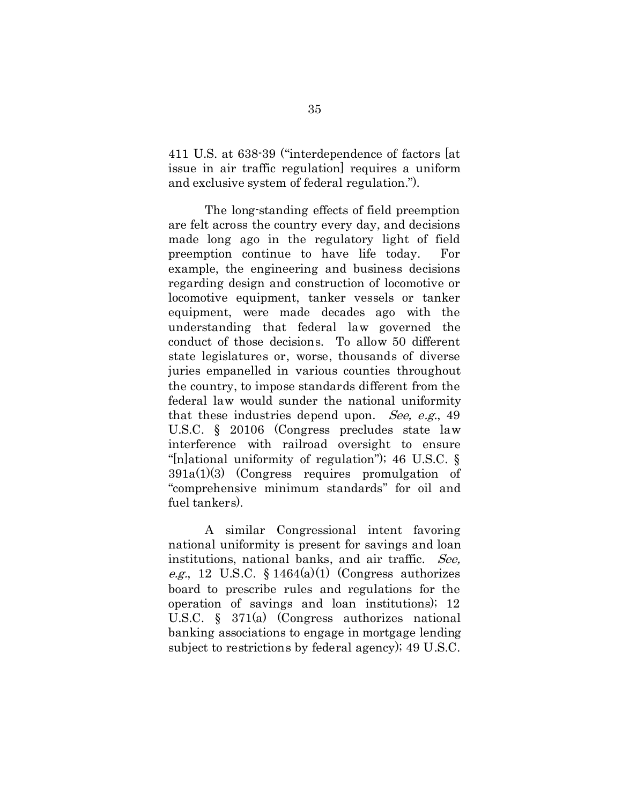411 U.S. at 638-39 ("interdependence of factors [at issue in air traffic regulation] requires a uniform and exclusive system of federal regulation.").

The long-standing effects of field preemption are felt across the country every day, and decisions made long ago in the regulatory light of field preemption continue to have life today. For example, the engineering and business decisions regarding design and construction of locomotive or locomotive equipment, tanker vessels or tanker equipment, were made decades ago with the understanding that federal law governed the conduct of those decisions. To allow 50 different state legislatures or, worse, thousands of diverse juries empanelled in various counties throughout the country, to impose standards different from the federal law would sunder the national uniformity that these industries depend upon. See, e.g., 49 U.S.C. § 20106 (Congress precludes state law interference with railroad oversight to ensure "[n]ational uniformity of regulation"); 46 U.S.C. § 391a(1)(3) (Congress requires promulgation of "comprehensive minimum standards" for oil and fuel tankers).

A similar Congressional intent favoring national uniformity is present for savings and loan institutions, national banks, and air traffic. See, *e.g.*, 12 U.S.C. § 1464(a)(1) (Congress authorizes board to prescribe rules and regulations for the operation of savings and loan institutions); 12 U.S.C. § 371(a) (Congress authorizes national banking associations to engage in mortgage lending subject to restrictions by federal agency); 49 U.S.C.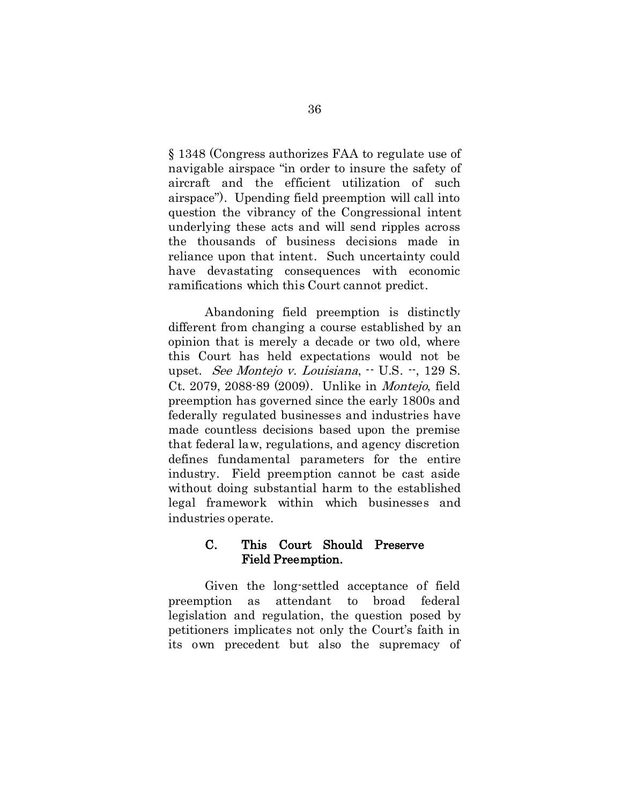§ 1348 (Congress authorizes FAA to regulate use of navigable airspace "in order to insure the safety of aircraft and the efficient utilization of such airspace"). Upending field preemption will call into question the vibrancy of the Congressional intent underlying these acts and will send ripples across the thousands of business decisions made in reliance upon that intent. Such uncertainty could have devastating consequences with economic ramifications which this Court cannot predict.

Abandoning field preemption is distinctly different from changing a course established by an opinion that is merely a decade or two old, where this Court has held expectations would not be upset. See Montejo v. Louisiana,  $\cdot$  U.S.  $\cdot$ , 129 S. Ct. 2079, 2088-89 (2009). Unlike in Montejo, field preemption has governed since the early 1800s and federally regulated businesses and industries have made countless decisions based upon the premise that federal law, regulations, and agency discretion defines fundamental parameters for the entire industry. Field preemption cannot be cast aside without doing substantial harm to the established legal framework within which businesses and industries operate.

### C. This Court Should Preserve Field Preemption.

Given the long-settled acceptance of field preemption as attendant to broad federal legislation and regulation, the question posed by petitioners implicates not only the Court's faith in its own precedent but also the supremacy of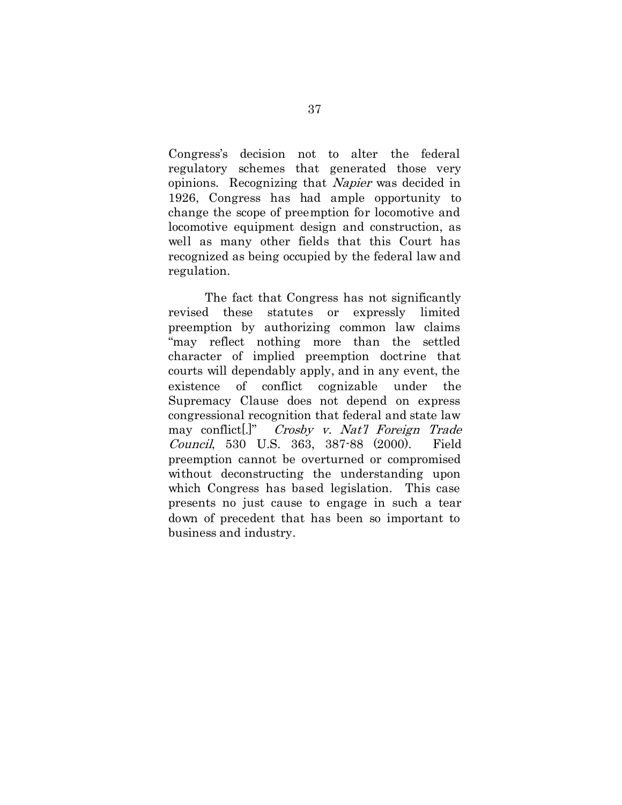Congress's decision not to alter the federal regulatory schemes that generated those very opinions. Recognizing that Napier was decided in 1926, Congress has had ample opportunity to change the scope of preemption for locomotive and locomotive equipment design and construction, as well as many other fields that this Court has recognized as being occupied by the federal law and regulation.

The fact that Congress has not significantly revised these statutes or expressly limited preemption by authorizing common law claims "may reflect nothing more than the settled character of implied preemption doctrine that courts will dependably apply, and in any event, the existence of conflict cognizable under the Supremacy Clause does not depend on express congressional recognition that federal and state law may conflict[.]" Crosby v. Nat'l Foreign Trade Council, 530 U.S. 363, 387-88 (2000). Field preemption cannot be overturned or compromised without deconstructing the understanding upon which Congress has based legislation. This case presents no just cause to engage in such a tear down of precedent that has been so important to business and industry.